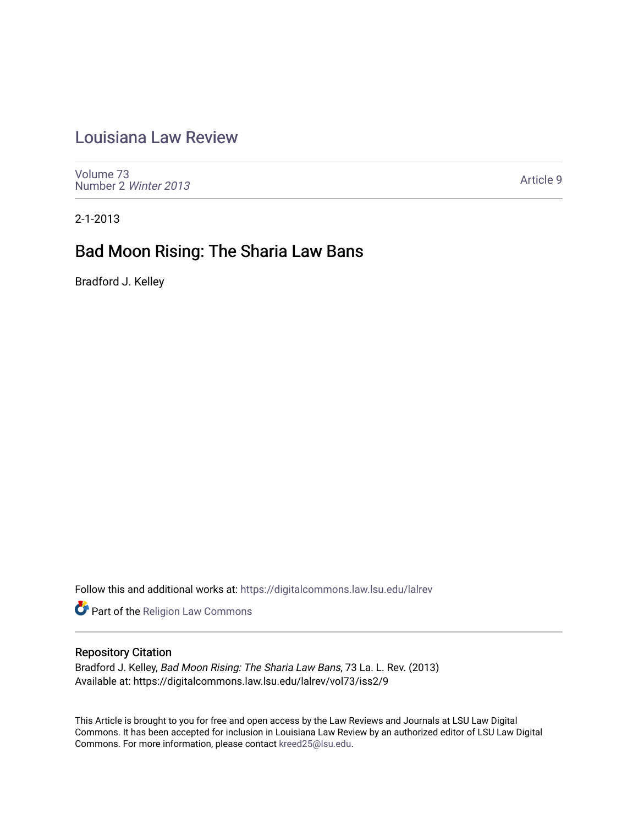# [Louisiana Law Review](https://digitalcommons.law.lsu.edu/lalrev)

[Volume 73](https://digitalcommons.law.lsu.edu/lalrev/vol73) [Number 2](https://digitalcommons.law.lsu.edu/lalrev/vol73/iss2) Winter 2013

[Article 9](https://digitalcommons.law.lsu.edu/lalrev/vol73/iss2/9) 

2-1-2013

# Bad Moon Rising: The Sharia Law Bans

Bradford J. Kelley

Follow this and additional works at: [https://digitalcommons.law.lsu.edu/lalrev](https://digitalcommons.law.lsu.edu/lalrev?utm_source=digitalcommons.law.lsu.edu%2Flalrev%2Fvol73%2Fiss2%2F9&utm_medium=PDF&utm_campaign=PDFCoverPages)

Part of the [Religion Law Commons](http://network.bepress.com/hgg/discipline/872?utm_source=digitalcommons.law.lsu.edu%2Flalrev%2Fvol73%2Fiss2%2F9&utm_medium=PDF&utm_campaign=PDFCoverPages)

## Repository Citation

Bradford J. Kelley, Bad Moon Rising: The Sharia Law Bans, 73 La. L. Rev. (2013) Available at: https://digitalcommons.law.lsu.edu/lalrev/vol73/iss2/9

This Article is brought to you for free and open access by the Law Reviews and Journals at LSU Law Digital Commons. It has been accepted for inclusion in Louisiana Law Review by an authorized editor of LSU Law Digital Commons. For more information, please contact [kreed25@lsu.edu](mailto:kreed25@lsu.edu).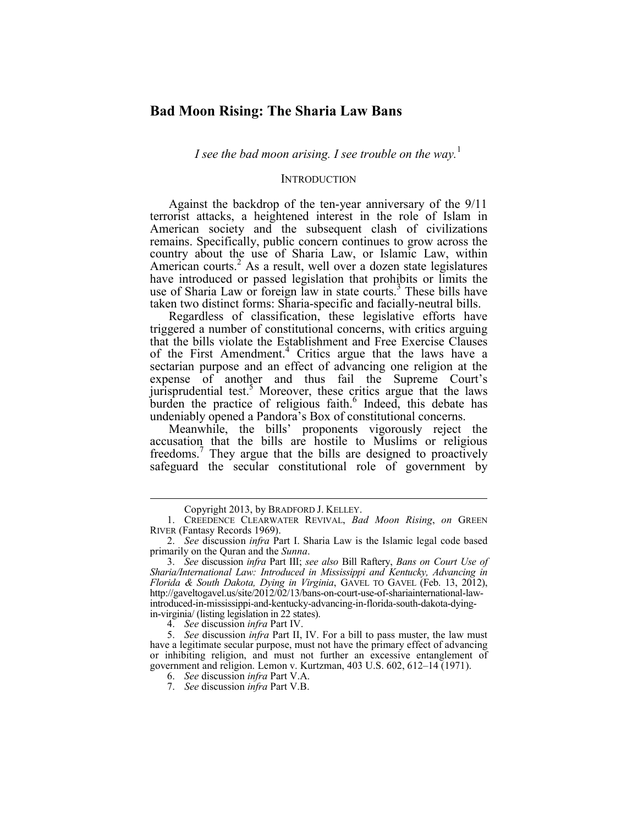## **Bad Moon Rising: The Sharia Law Bans**

*I* see the bad moon arising. *I* see trouble on the way.<sup>1</sup>

## **INTRODUCTION**

 Against the backdrop of the ten-year anniversary of the 9/11 terrorist attacks, a heightened interest in the role of Islam in American society and the subsequent clash of civilizations remains. Specifically, public concern continues to grow across the country about the use of Sharia Law, or Islamic Law, within American courts.<sup>2</sup> As a result, well over a dozen state legislatures have introduced or passed legislation that prohibits or limits the use of Sharia Law or foreign law in state courts.<sup>3</sup> These bills have taken two distinct forms: Sharia-specific and facially-neutral bills.

Regardless of classification, these legislative efforts have triggered a number of constitutional concerns, with critics arguing that the bills violate the Establishment and Free Exercise Clauses of the First Amendment.<sup>4</sup> Critics argue that the laws have a sectarian purpose and an effect of advancing one religion at the expense of another and thus fail the Supreme Court's jurisprudential test.<sup>5</sup> Moreover, these critics argue that the laws burden the practice of religious faith.<sup>6</sup> Indeed, this debate has undeniably opened a Pandora's Box of constitutional concerns.

Meanwhile, the bills' proponents vigorously reject the accusation that the bills are hostile to Muslims or religious freedoms.<sup>7</sup> They argue that the bills are designed to proactively safeguard the secular constitutional role of government by

Copyright 2013, by BRADFORD J. KELLEY. 1. CREEDENCE CLEARWATER REVIVAL, *Bad Moon Rising*, *on* GREEN RIVER (Fantasy Records 1969).

 2. *See* discussion *infra* Part I. Sharia Law is the Islamic legal code based primarily on the Quran and the *Sunna*.

 3. *See* discussion *infra* Part III; *see also* Bill Raftery, *Bans on Court Use of*  in-virginia/ (listing legislation in 22 states). *Sharia/International Law: Introduced in Mississippi and Kentucky, Advancing in Florida & South Dakota, Dying in Virginia*, GAVEL TO GAVEL (Feb. 13, 2012), http://gaveltogavel.us/site/2012/02/13/bans-on-court-use-of-shariainternational-lawintroduced-in-mississippi-and-kentucky-advancing-in-florida-south-dakota-dying-

 <sup>4.</sup> *See* discussion *infra* Part IV.

 5. *See* discussion *infra* Part II, IV. For a bill to pass muster, the law must have a legitimate secular purpose, must not have the primary effect of advancing or inhibiting religion, and must not further an excessive entanglement of government and religion. Lemon v. Kurtzman, 403 U.S. 602, 612–14 (1971).

 6. *See* discussion *infra* Part V.A.

 <sup>7.</sup> *See* discussion *infra* Part V.B.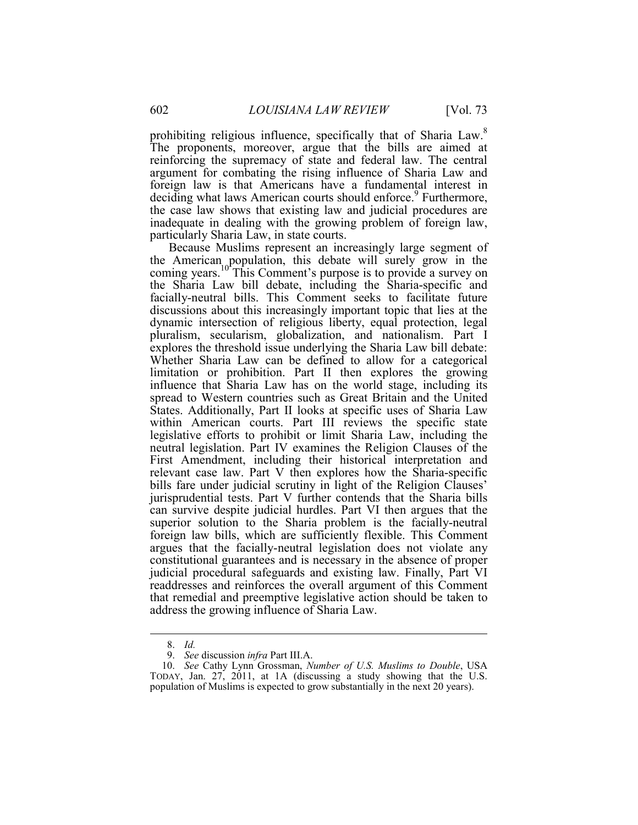argument for combating the rising influence of Sharia Law and prohibiting religious influence, specifically that of Sharia Law.<sup>8</sup> The proponents, moreover, argue that the bills are aimed at reinforcing the supremacy of state and federal law. The central foreign law is that Americans have a fundamental interest in deciding what laws American courts should enforce.<sup>9</sup> Furthermore, the case law shows that existing law and judicial procedures are inadequate in dealing with the growing problem of foreign law, particularly Sharia Law, in state courts.

 the Sharia Law bill debate, including the Sharia-specific and judicial procedural safeguards and existing law. Finally, Part VI Because Muslims represent an increasingly large segment of the American population, this debate will surely grow in the coming years.<sup>10</sup><sup>T</sup>his Comment's purpose is to provide a survey on facially-neutral bills. This Comment seeks to facilitate future discussions about this increasingly important topic that lies at the dynamic intersection of religious liberty, equal protection, legal pluralism, secularism, globalization, and nationalism. Part I explores the threshold issue underlying the Sharia Law bill debate: Whether Sharia Law can be defined to allow for a categorical limitation or prohibition. Part II then explores the growing influence that Sharia Law has on the world stage, including its spread to Western countries such as Great Britain and the United States. Additionally, Part II looks at specific uses of Sharia Law within American courts. Part III reviews the specific state legislative efforts to prohibit or limit Sharia Law, including the neutral legislation. Part IV examines the Religion Clauses of the First Amendment, including their historical interpretation and relevant case law. Part V then explores how the Sharia-specific bills fare under judicial scrutiny in light of the Religion Clauses' jurisprudential tests. Part V further contends that the Sharia bills can survive despite judicial hurdles. Part VI then argues that the superior solution to the Sharia problem is the facially-neutral foreign law bills, which are sufficiently flexible. This Comment argues that the facially-neutral legislation does not violate any constitutional guarantees and is necessary in the absence of proper readdresses and reinforces the overall argument of this Comment that remedial and preemptive legislative action should be taken to address the growing influence of Sharia Law.

 <sup>8.</sup> *Id.*

 <sup>9.</sup> *See* discussion *infra* Part III.A.

 <sup>10.</sup> *See* Cathy Lynn Grossman, *Number of U.S. Muslims to Double*, USA TODAY, Jan. 27, 2011, at 1A (discussing a study showing that the U.S. population of Muslims is expected to grow substantially in the next 20 years).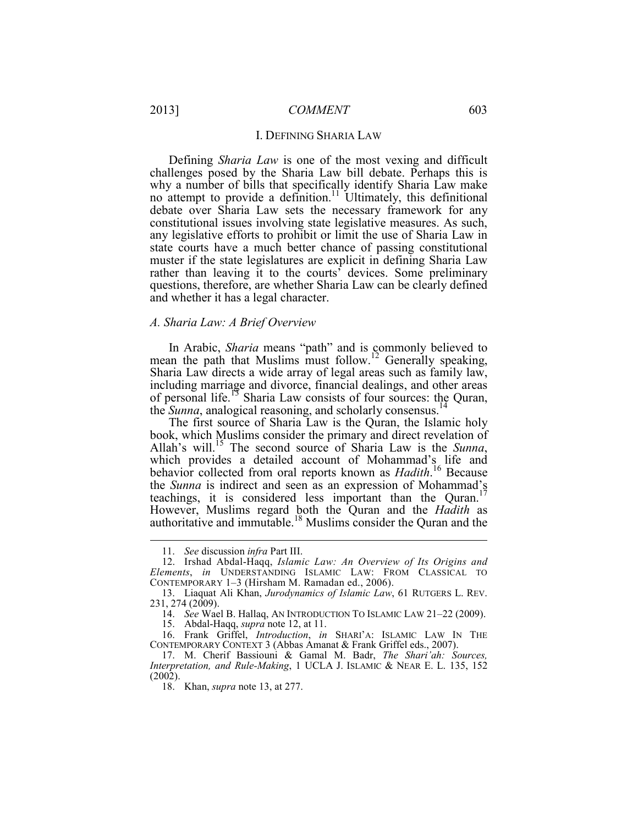#### I. DEFINING SHARIA LAW

 why a number of bills that specifically identify Sharia Law make any legislative efforts to prohibit or limit the use of Sharia Law in muster if the state legislatures are explicit in defining Sharia Law questions, therefore, are whether Sharia Law can be clearly defined Defining *Sharia Law* is one of the most vexing and difficult challenges posed by the Sharia Law bill debate. Perhaps this is no attempt to provide a definition.<sup>11</sup> Ultimately, this definitional debate over Sharia Law sets the necessary framework for any constitutional issues involving state legislative measures. As such, state courts have a much better chance of passing constitutional rather than leaving it to the courts' devices. Some preliminary and whether it has a legal character.

## *A. Sharia Law: A Brief Overview*

In Arabic, *Sharia* means "path" and is commonly believed to mean the path that Muslims must follow.<sup>12</sup> Generally speaking, Sharia Law directs a wide array of legal areas such as family law, including marriage and divorce, financial dealings, and other areas of personal life.13 Sharia Law consists of four sources: the Quran, the *Sunna*, analogical reasoning, and scholarly consensus.<sup>14</sup>

The first source of Sharia Law is the Quran, the Islamic holy book, which Muslims consider the primary and direct revelation of Allah's will.15 The second source of Sharia Law is the *Sunna*, which provides a detailed account of Mohammad's life and behavior collected from oral reports known as *Hadith*. 16 Because the *Sunna* is indirect and seen as an expression of Mohammad's teachings, it is considered less important than the Quran.<sup>1</sup> However, Muslims regard both the Quran and the *Hadith* as authoritative and immutable.<sup>18</sup> Muslims consider the Quran and the

1

15. Abdal-Haqq, *supra* note 12, at 11.

 16. Frank Griffel, *Introduction*, *in* SHARI'A: ISLAMIC LAW IN THE CONTEMPORARY CONTEXT 3 (Abbas Amanat & Frank Griffel eds., 2007).

 <sup>11.</sup> *See* discussion *infra* Part III.

 12. Irshad Abdal-Haqq, *Islamic Law: An Overview of Its Origins and*  CONTEMPORARY 1–3 (Hirsham M. Ramadan ed., 2006). *Elements*, *in* UNDERSTANDING ISLAMIC LAW: FROM CLASSICAL TO

 <sup>13.</sup> Liaquat Ali Khan, *Jurodynamics of Islamic Law*, 61 RUTGERS L. REV. 231, 274 (2009).

 <sup>14.</sup> *See* Wael B. Hallaq, AN INTRODUCTION TO ISLAMIC LAW 21–22 (2009).

 *Interpretation, and Rule-Making*, 1 UCLA J. ISLAMIC & NEAR E. L. 135, 152 17. M. Cherif Bassiouni & Gamal M. Badr, *The Shari'ah: Sources,*  (2002).

 <sup>18.</sup> Khan, *supra* note 13, at 277.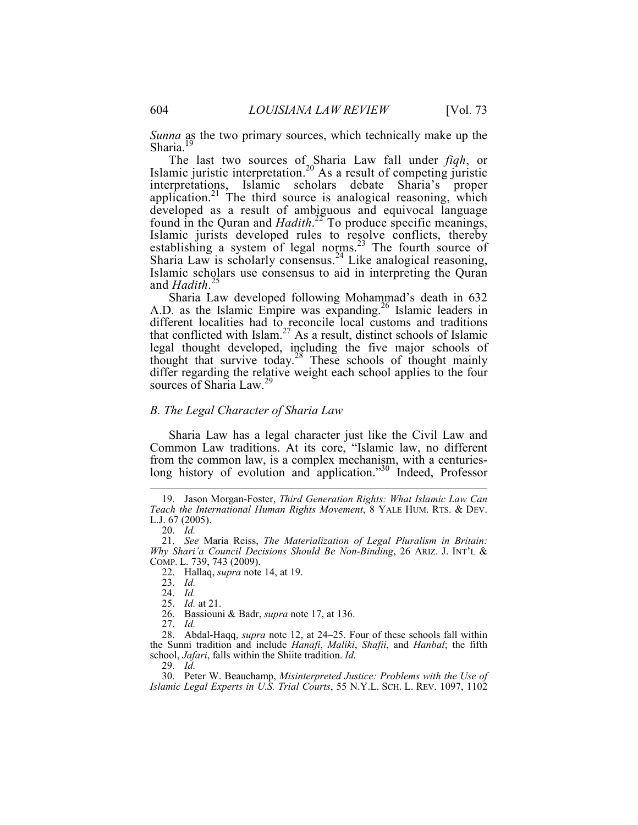*Sunna* as the two primary sources, which technically make up the Sharia.<sup>19</sup>

 found in the Quran and *Hadith*. 22 To produce specific meanings, The last two sources of Sharia Law fall under *fiqh*, or Islamic juristic interpretation.<sup>20</sup> As a result of competing juristic interpretations, Islamic scholars debate Sharia's proper application.<sup>21</sup> The third source is analogical reasoning, which developed as a result of ambiguous and equivocal language Islamic jurists developed rules to resolve conflicts, thereby establishing a system of legal norms. $23$  The fourth source of Sharia Law is scholarly consensus.<sup>24</sup> Like analogical reasoning, Islamic scholars use consensus to aid in interpreting the Quran and *Hadith*. 25

Sharia Law developed following Mohammad's death in 632 A.D. as the Islamic Empire was expanding.<sup>26</sup> Islamic leaders in different localities had to reconcile local customs and traditions that conflicted with  $\text{Islam}^{27}$  As a result, distinct schools of Islamic legal thought developed, including the five major schools of thought that survive today.28 These schools of thought mainly differ regarding the relative weight each school applies to the four sources of Sharia Law.<sup>29</sup>

## *B. The Legal Character of Sharia Law*

Sharia Law has a legal character just like the Civil Law and Common Law traditions. At its core, "Islamic law, no different from the common law, is a complex mechanism, with a centurieslong history of evolution and application."<sup>30</sup> Indeed, Professor

 *Teach the International Human Rights Movement*, 8 YALE HUM. RTS. & DEV. L.J. 67 (2005). 19. Jason Morgan-Foster, *Third Generation Rights: What Islamic Law Can* 

 <sup>20.</sup> *Id.*

 *Why Shari'a Council Decisions Should Be Non-Binding*, 26 ARIZ. J. INT'L & 21. *See* Maria Reiss, *The Materialization of Legal Pluralism in Britain:*  COMP. L. 739, 743 (2009).

 <sup>22.</sup> Hallaq, *supra* note 14, at 19.

 <sup>23.</sup> *Id.*

 <sup>24.</sup> *Id.*

 <sup>25.</sup> *Id.* at 21.

<sup>26.</sup> Bassiouni & Badr, *supra* note 17, at 136.

 <sup>27.</sup> *Id.*

 28. Abdal-Haqq, *supra* note 12, at 24–25. Four of these schools fall within school, *Jafari*, falls within the Shiite tradition. *Id.* the Sunni tradition and include *Hanafi*, *Maliki*, *Shafii*, and *Hanbal*; the fifth

 29. *Id.* 30. Peter W. Beauchamp, *Misinterpreted Justice: Problems with the Use of Islamic Legal Experts in U.S. Trial Courts*, 55 N.Y.L. SCH. L. REV. 1097, 1102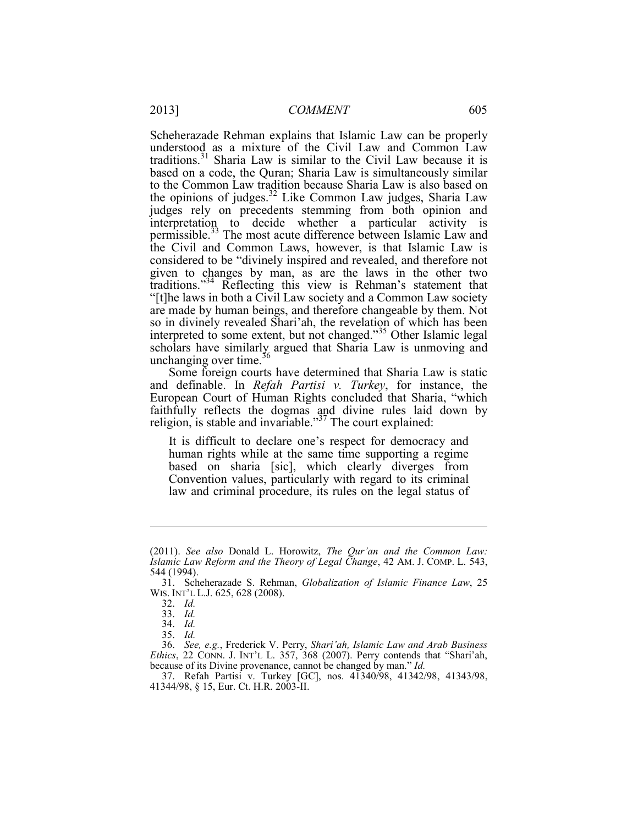Scheherazade Rehman explains that Islamic Law can be properly permissible.<sup>33</sup> The most acute difference between Islamic Law and the Civil and Common Laws, however, is that Islamic Law is understood as a mixture of the Civil Law and Common Law traditions.31 Sharia Law is similar to the Civil Law because it is based on a code, the Quran; Sharia Law is simultaneously similar to the Common Law tradition because Sharia Law is also based on the opinions of judges.<sup>32</sup> Like Common Law judges, Sharia Law judges rely on precedents stemming from both opinion and interpretation to decide whether a particular activity is considered to be "divinely inspired and revealed, and therefore not given to changes by man, as are the laws in the other two traditions."34 Reflecting this view is Rehman's statement that "[t]he laws in both a Civil Law society and a Common Law society are made by human beings, and therefore changeable by them. Not so in divinely revealed Shari'ah, the revelation of which has been interpreted to some extent, but not changed."35 Other Islamic legal scholars have similarly argued that Sharia Law is unmoving and unchanging over time. $36$ 

Some foreign courts have determined that Sharia Law is static and definable. In *Refah Partisi v. Turkey*, for instance, the European Court of Human Rights concluded that Sharia, "which faithfully reflects the dogmas and divine rules laid down by religion, is stable and invariable."<sup>37</sup> The court explained:

 It is difficult to declare one's respect for democracy and human rights while at the same time supporting a regime based on sharia [sic], which clearly diverges from Convention values, particularly with regard to its criminal law and criminal procedure, its rules on the legal status of

 *Islamic Law Reform and the Theory of Legal Change*, 42 AM. J. COMP. L. 543, (2011). *See also* Donald L. Horowitz, *The Qur'an and the Common Law:*  544 (1994).

<sup>31.</sup> Scheherazade S. Rehman, *Globalization of Islamic Finance Law*, 25 WIS. INT'L L.J. 625, 628 (2008).

 <sup>32.</sup> *Id.*

 <sup>33.</sup> *Id.*

 <sup>34.</sup> *Id.*

 35. *Id.*

 *Ethics*, 22 CONN. J. INT'L L. 357, 368 (2007). Perry contends that "Shari'ah, because of its Divine provenance, cannot be changed by man." Id. 36. *See, e.g.*, Frederick V. Perry, *Shari'ah, Islamic Law and Arab Business* 

because of its Divine provenance, cannot be changed by man." *Id.* 37. Refah Partisi v. Turkey [GC], nos. 41340/98, 41342/98, 41343/98, 41344/98, § 15, Eur. Ct. H.R. 2003-II.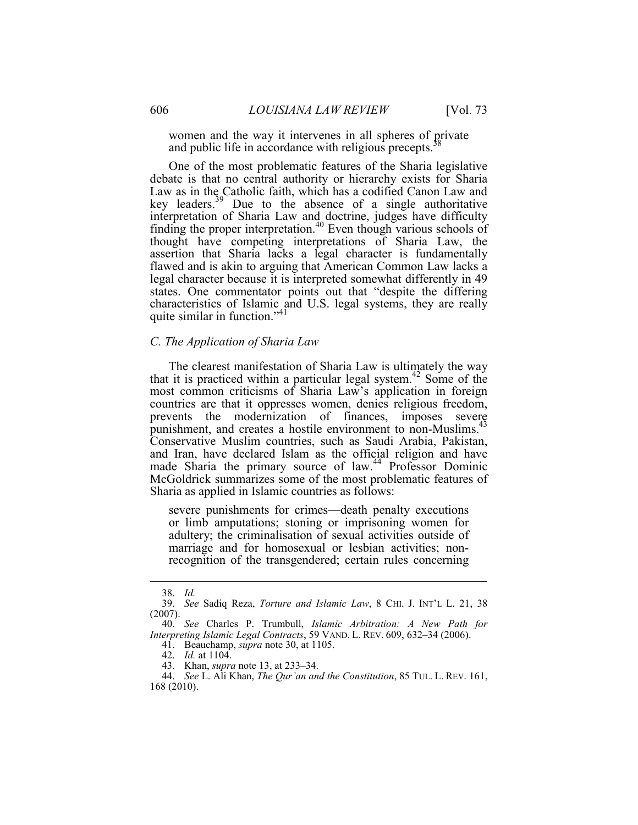women and the way it intervenes in all spheres of private and public life in accordance with religious precepts.

 characteristics of Islamic and U.S. legal systems, they are really One of the most problematic features of the Sharia legislative debate is that no central authority or hierarchy exists for Sharia Law as in the Catholic faith, which has a codified Canon Law and key leaders.<sup>39</sup> Due to the absence of a single authoritative interpretation of Sharia Law and doctrine, judges have difficulty finding the proper interpretation.40 Even though various schools of thought have competing interpretations of Sharia Law, the assertion that Sharia lacks a legal character is fundamentally flawed and is akin to arguing that American Common Law lacks a legal character because it is interpreted somewhat differently in 49 states. One commentator points out that "despite the differing quite similar in function."<sup>41</sup>

## *C. The Application of Sharia Law*

Sharia as applied in Islamic countries as follows: Sharia as applied in Islamic countries as follows: severe punishments for crimes—death penalty executions The clearest manifestation of Sharia Law is ultimately the way that it is practiced within a particular legal system.<sup>42</sup> Some of the most common criticisms of Sharia Law's application in foreign countries are that it oppresses women, denies religious freedom, prevents the modernization of finances, imposes severe punishment, and creates a hostile environment to non-Muslims.<sup>43</sup> Conservative Muslim countries, such as Saudi Arabia, Pakistan, and Iran, have declared Islam as the official religion and have made Sharia the primary source of law.<sup>44</sup> Professor Dominic McGoldrick summarizes some of the most problematic features of

 recognition of the transgendered; certain rules concerning or limb amputations; stoning or imprisoning women for adultery; the criminalisation of sexual activities outside of marriage and for homosexual or lesbian activities; non-

 <sup>38.</sup> *Id.*

 39. *See* Sadiq Reza, *Torture and Islamic Law*, 8 CHI. J. INT'L L. 21, 38 (2007).

 *Interpreting Islamic Legal Contracts*, 59 VAND. L. REV. 609, 632–34 (2006). 41. Beauchamp, *supra* note 30, at 1105. 40. *See* Charles P. Trumbull, *Islamic Arbitration: A New Path for* 

 <sup>42.</sup> *Id.* at 1104.

 <sup>43.</sup> Khan, *supra* note 13, at 233–34.

 <sup>44.</sup> *See* L. Ali Khan, *The Qur'an and the Constitution*, 85 TUL. L. REV. 161, 168 (2010).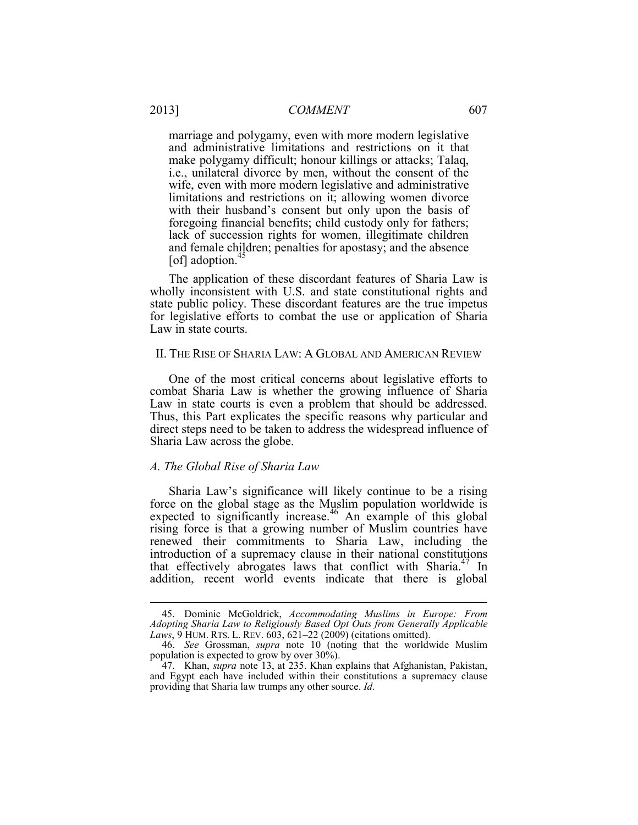marriage and polygamy, even with more modern legislative and administrative limitations and restrictions on it that make polygamy difficult; honour killings or attacks; Talaq, i.e., unilateral divorce by men, without the consent of the wife, even with more modern legislative and administrative limitations and restrictions on it; allowing women divorce with their husband's consent but only upon the basis of foregoing financial benefits; child custody only for fathers; lack of succession rights for women, illegitimate children and female children; penalties for apostasy; and the absence [of] adoption. $45$ 

The application of these discordant features of Sharia Law is wholly inconsistent with U.S. and state constitutional rights and state public policy. These discordant features are the true impetus for legislative efforts to combat the use or application of Sharia Law in state courts.

## II. THE RISE OF SHARIA LAW: A GLOBAL AND AMERICAN REVIEW

One of the most critical concerns about legislative efforts to combat Sharia Law is whether the growing influence of Sharia Law in state courts is even a problem that should be addressed. Thus, this Part explicates the specific reasons why particular and direct steps need to be taken to address the widespread influence of Sharia Law across the globe.

## *A. The Global Rise of Sharia Law*

 $\overline{a}$ 

Sharia Law's significance will likely continue to be a rising force on the global stage as the Muslim population worldwide is expected to significantly increase.<sup>46</sup> An example of this global rising force is that a growing number of Muslim countries have renewed their commitments to Sharia Law, including the introduction of a supremacy clause in their national constitutions that effectively abrogates laws that conflict with Sharia.<sup>47</sup> In addition, recent world events indicate that there is global

 *Laws*, 9 HUM. RTS. L. REV. 603, 621–22 (2009) (citations omitted). 45. Dominic McGoldrick, *Accommodating Muslims in Europe: From Adopting Sharia Law to Religiously Based Opt Outs from Generally Applicable*

 <sup>46.</sup> *See* Grossman, *supra* note 10 (noting that the worldwide Muslim population is expected to grow by over 30%).

 providing that Sharia law trumps any other source. *Id.*  47. Khan, *supra* note 13, at 235. Khan explains that Afghanistan, Pakistan, and Egypt each have included within their constitutions a supremacy clause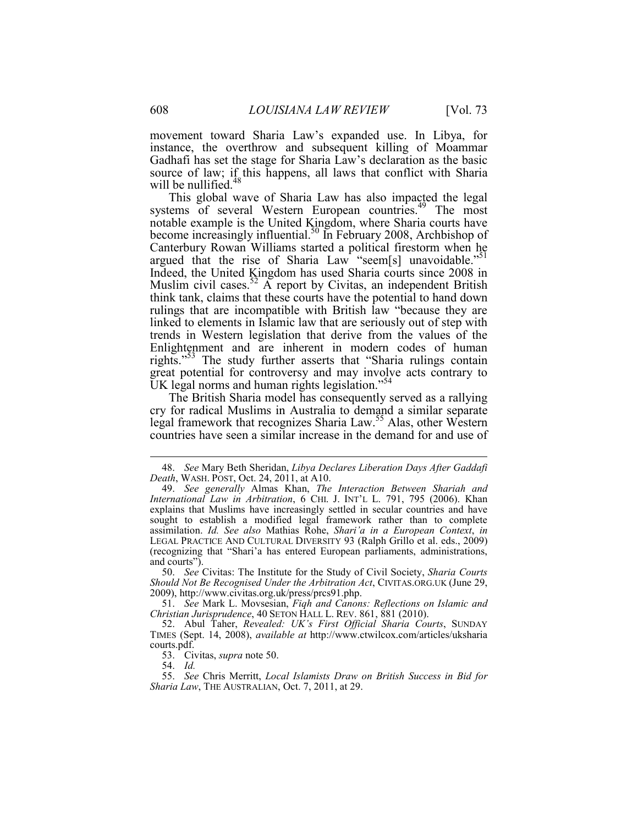movement toward Sharia Law's expanded use. In Libya, for instance, the overthrow and subsequent killing of Moammar Gadhafi has set the stage for Sharia Law's declaration as the basic source of law; if this happens, all laws that conflict with Sharia will be nullified.<sup>48</sup>

rights."<sup>53</sup> The study further asserts that "Sharia rulings contain This global wave of Sharia Law has also impacted the legal systems of several Western European countries.<sup>49</sup> The most notable example is the United Kingdom, where Sharia courts have become increasingly influential.<sup>50</sup> In February 2008, Archbishop of Canterbury Rowan Williams started a political firestorm when he argued that the rise of Sharia Law "seem[s] unavoidable."<sup>51</sup> Indeed, the United Kingdom has used Sharia courts since 2008 in Muslim civil cases.<sup>52</sup> A report by Civitas, an independent British think tank, claims that these courts have the potential to hand down rulings that are incompatible with British law "because they are linked to elements in Islamic law that are seriously out of step with trends in Western legislation that derive from the values of the Enlightenment and are inherent in modern codes of human great potential for controversy and may involve acts contrary to UK legal norms and human rights legislation."<sup>54</sup>

 The British Sharia model has consequently served as a rallying cry for radical Muslims in Australia to demand a similar separate legal framework that recognizes Sharia Law.55 Alas, other Western countries have seen a similar increase in the demand for and use of

 50. *See* Civitas: The Institute for the Study of Civil Society, *Sharia Courts Should Not Be Recognised Under the Arbitration Act*, CIVITAS.ORG.UK (June 29, 2009), http://www.civitas.org.uk/press/prcs91.php.

 51. *See* Mark L. Movsesian, *Fiqh and Canons: Reflections on Islamic and Christian Jurisprudence*, 40 SETON HALL L. REV. 861, 881 (2010).

53. Civitas, *supra* note 50.

54. *Id.*

1

 55. *See* Chris Merritt, *Local Islamists Draw on British Success in Bid for Sharia Law*, THE AUSTRALIAN, Oct. 7, 2011, at 29.

 <sup>48.</sup> *See* Mary Beth Sheridan, *Libya Declares Liberation Days After Gaddafi Death*, WASH. POST, Oct. 24, 2011, at A10.

 explains that Muslims have increasingly settled in secular countries and have 49. *See generally* Almas Khan, *The Interaction Between Shariah and International Law in Arbitration*, 6 CHI. J. INT'L L. 791, 795 (2006). Khan sought to establish a modified legal framework rather than to complete assimilation. *Id. See also* Mathias Rohe, *Shari'a in a European Context*, *in*  LEGAL PRACTICE AND CULTURAL DIVERSITY 93 (Ralph Grillo et al. eds., 2009) (recognizing that "Shari'a has entered European parliaments, administrations, and courts").

 52. Abul Taher, *Revealed: UK's First Official Sharia Courts*, SUNDAY TIMES (Sept. 14, 2008), *available at* http://www.ctwilcox.com/articles/uksharia courts.pdf.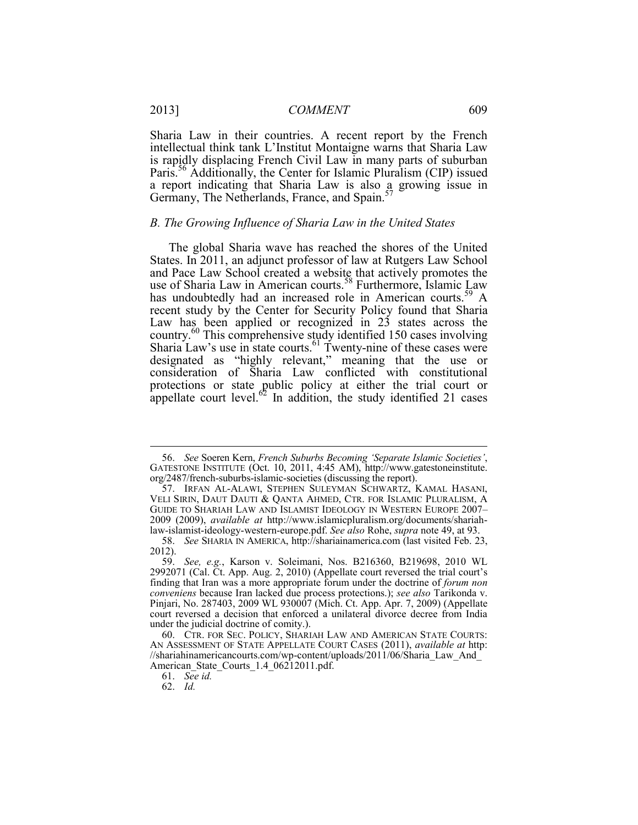Paris.<sup>56</sup> Additionally, the Center for Islamic Pluralism (CIP) issued Sharia Law in their countries. A recent report by the French intellectual think tank L'Institut Montaigne warns that Sharia Law is rapidly displacing French Civil Law in many parts of suburban a report indicating that Sharia Law is also a growing issue in Germany, The Netherlands, France, and Spain.<sup>5</sup>

## *B. The Growing Influence of Sharia Law in the United States*

The global Sharia wave has reached the shores of the United States. In 2011, an adjunct professor of law at Rutgers Law School and Pace Law School created a website that actively promotes the use of Sharia Law in American courts.<sup>58</sup> Furthermore, Islamic Law has undoubtedly had an increased role in American courts.<sup>59</sup> A recent study by the Center for Security Policy found that Sharia Law has been applied or recognized in 23 states across the country.<sup>60</sup> This comprehensive study identified 150 cases involving Sharia Law's use in state courts.<sup>61</sup> Twenty-nine of these cases were designated as "highly relevant," meaning that the use or consideration of Sharia Law conflicted with constitutional protections or state public policy at either the trial court or appellate court level.<sup>62</sup> In addition, the study identified 21 cases

 <sup>56.</sup> *See* Soeren Kern, *French Suburbs Becoming 'Separate Islamic Societies'*, GATESTONE INSTITUTE (Oct. 10, 2011, 4:45 AM), http://www.gatestoneinstitute. org/2487/french-suburbs-islamic-societies (discussing the report).

 VELI SIRIN, DAUT DAUTI & QANTA AHMED, CTR. FOR ISLAMIC PLURALISM, A 57. IRFAN AL-ALAWI, STEPHEN SULEYMAN SCHWARTZ, KAMAL HASANI, GUIDE TO SHARIAH LAW AND ISLAMIST IDEOLOGY IN WESTERN EUROPE 2007– 2009 (2009), *available at* http://www.islamicpluralism.org/documents/shariahlaw-islamist-ideology-western-europe.pdf. *See also* Rohe, *supra* note 49, at 93.

 <sup>58.</sup> *See* SHARIA IN AMERICA, http://shariainamerica.com (last visited Feb. 23, 2012).

 under the judicial doctrine of comity.). 59. *See, e.g.*, Karson v. Soleimani, Nos. B216360, B219698, 2010 WL 2992071 (Cal. Ct. App. Aug. 2, 2010) (Appellate court reversed the trial court's finding that Iran was a more appropriate forum under the doctrine of *forum non conveniens* because Iran lacked due process protections.); *see also* Tarikonda v. Pinjari, No. 287403, 2009 WL 930007 (Mich. Ct. App. Apr. 7, 2009) (Appellate court reversed a decision that enforced a unilateral divorce decree from India

 60. CTR. FOR SEC. POLICY, SHARIAH LAW AND AMERICAN STATE COURTS: AN ASSESSMENT OF STATE APPELLATE COURT CASES (2011), *available at* http: //shariahinamericancourts.com/wp-content/uploads/2011/06/Sharia\_Law\_And\_ American\_State\_Courts\_1.4\_06212011.pdf.

 <sup>61.</sup> *See id.*

 <sup>62.</sup> *Id.*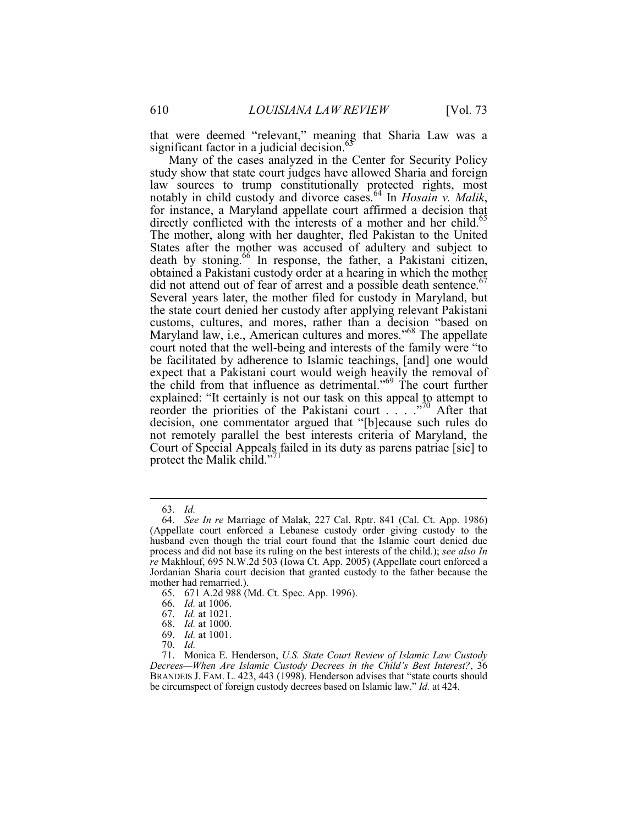that were deemed "relevant," meaning that Sharia Law was a significant factor in a judicial decision. $63$ 

 court noted that the well-being and interests of the family were "to Many of the cases analyzed in the Center for Security Policy study show that state court judges have allowed Sharia and foreign law sources to trump constitutionally protected rights, most notably in child custody and divorce cases.<sup>64</sup> In *Hosain v. Malik*, for instance, a Maryland appellate court affirmed a decision that directly conflicted with the interests of a mother and her child.<sup>65</sup> The mother, along with her daughter, fled Pakistan to the United States after the mother was accused of adultery and subject to death by stoning.<sup>66</sup> In response, the father, a Pakistani citizen, obtained a Pakistani custody order at a hearing in which the mother did not attend out of fear of arrest and a possible death sentence.<sup>67</sup> Several years later, the mother filed for custody in Maryland, but the state court denied her custody after applying relevant Pakistani customs, cultures, and mores, rather than a decision "based on Maryland law, i.e., American cultures and mores."<sup>68</sup> The appellate be facilitated by adherence to Islamic teachings, [and] one would expect that a Pakistani court would weigh heavily the removal of the child from that influence as detrimental."69 The court further explained: "It certainly is not our task on this appeal to attempt to reorder the priorities of the Pakistani court . . . ."70 After that decision, one commentator argued that "[b]ecause such rules do not remotely parallel the best interests criteria of Maryland, the Court of Special Appeals failed in its duty as parens patriae [sic] to protect the Malik child."<sup>11</sup>

<u>.</u>

 <sup>63.</sup> *Id.*

 (Appellate court enforced a Lebanese custody order giving custody to the 64. *See In re* Marriage of Malak, 227 Cal. Rptr. 841 (Cal. Ct. App. 1986) husband even though the trial court found that the Islamic court denied due process and did not base its ruling on the best interests of the child.); *see also In re* Makhlouf, 695 N.W.2d 503 (Iowa Ct. App. 2005) (Appellate court enforced a Jordanian Sharia court decision that granted custody to the father because the mother had remarried.).

<sup>65. 671</sup> A.2d 988 (Md. Ct. Spec. App. 1996).

 66. *Id.* at 1006.

 <sup>67.</sup> *Id.* at 1021.

 <sup>68.</sup> *Id.* at 1000.

 <sup>69.</sup> *Id.* at 1001.

<sup>70.</sup> Id.

 BRANDEIS J. FAM. L. 423, 443 (1998). Henderson advises that "state courts should 70. *Id.* 71. Monica E. Henderson, *U.S. State Court Review of Islamic Law Custody Decrees—When Are Islamic Custody Decrees in the Child's Best Interest?*, 36 be circumspect of foreign custody decrees based on Islamic law." *Id.* at 424.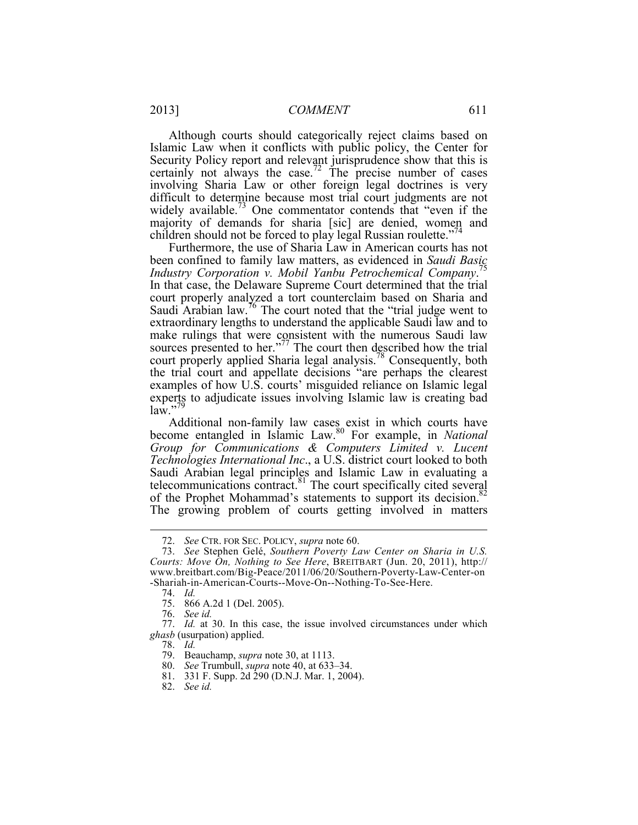children should not be forced to play legal Russian roulette."<sup>74</sup> Although courts should categorically reject claims based on Islamic Law when it conflicts with public policy, the Center for Security Policy report and relevant jurisprudence show that this is certainly not always the case.<sup>72</sup> The precise number of cases involving Sharia Law or other foreign legal doctrines is very difficult to determine because most trial court judgments are not widely available.<sup>73</sup> One commentator contends that "even if the majority of demands for sharia [sic] are denied, women and

Furthermore, the use of Sharia Law in American courts has not been confined to family law matters, as evidenced in *Saudi Basic Industry Corporation v. Mobil Yanbu Petrochemical Company*. 75 In that case, the Delaware Supreme Court determined that the trial court properly analyzed a tort counterclaim based on Sharia and Saudi Arabian law.76 The court noted that the "trial judge went to extraordinary lengths to understand the applicable Saudi law and to make rulings that were consistent with the numerous Saudi law sources presented to her."<sup>77</sup> The court then described how the trial court properly applied Sharia legal analysis.<sup>78</sup> Consequently, both the trial court and appellate decisions "are perhaps the clearest examples of how U.S. courts' misguided reliance on Islamic legal experts to adjudicate issues involving Islamic law is creating bad  $law.$ "7

Additional non-family law cases exist in which courts have become entangled in Islamic Law.80 For example, in *National Group for Communications & Computers Limited v. Lucent Technologies International Inc*., a U.S. district court looked to both Saudi Arabian legal principles and Islamic Law in evaluating a telecommunications contract. $81$  The court specifically cited several of the Prophet Mohammad's statements to support its decision.<sup>82</sup> The growing problem of courts getting involved in matters

 <sup>72.</sup> *See* CTR. FOR SEC. POLICY, *supra* note 60.

 73. *See* Stephen Gelé, *Southern Poverty Law Center on Sharia in U.S.*  -Shariah-in-American-Courts--Move-On--Nothing-To-See-Here. *Courts: Move On, Nothing to See Here*, BREITBART (Jun. 20, 2011), http:// www.breitbart.com/Big-Peace/2011/06/20/Southern-Poverty-Law-Center-on

 <sup>74.</sup> *Id.* 

<sup>75. 866</sup> A.2d 1 (Del. 2005).

 <sup>76.</sup> *See id.*

 *ghasb* (usurpation) applied. 77. *Id.* at 30. In this case, the issue involved circumstances under which

 78. *Id.*

 79. Beauchamp, *supra* note 30, at 1113.

 <sup>80.</sup> *See* Trumbull, *supra* note 40, at 633–34.

<sup>81. 331</sup> F. Supp. 2d 290 (D.N.J. Mar. 1, 2004).

 <sup>82.</sup> *See id.*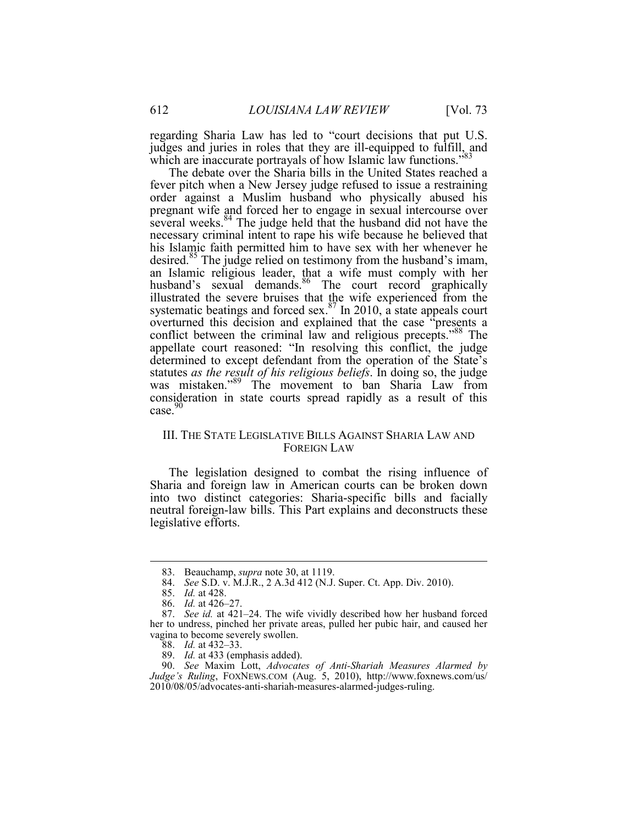regarding Sharia Law has led to "court decisions that put U.S. judges and juries in roles that they are ill-equipped to fulfill, and which are inaccurate portrayals of how Islamic law functions."<sup>83</sup>

 order against a Muslim husband who physically abused his The debate over the Sharia bills in the United States reached a fever pitch when a New Jersey judge refused to issue a restraining pregnant wife and forced her to engage in sexual intercourse over several weeks.<sup>84</sup> The judge held that the husband did not have the necessary criminal intent to rape his wife because he believed that his Islamic faith permitted him to have sex with her whenever he desired.<sup>85</sup> The judge relied on testimony from the husband's imam, an Islamic religious leader, that a wife must comply with her husband's sexual demands.<sup>86</sup> The court record graphically illustrated the severe bruises that the wife experienced from the systematic beatings and forced sex. $87$  In 2010, a state appeals court overturned this decision and explained that the case "presents a conflict between the criminal law and religious precepts."<sup>88</sup> The appellate court reasoned: "In resolving this conflict, the judge determined to except defendant from the operation of the State's statutes *as the result of his religious beliefs*. In doing so, the judge was mistaken."<sup>89</sup> The movement to ban Sharia Law from consideration in state courts spread rapidly as a result of this case.<sup>90</sup>

## III. THE STATE LEGISLATIVE BILLS AGAINST SHARIA LAW AND FOREIGN LAW

The legislation designed to combat the rising influence of Sharia and foreign law in American courts can be broken down into two distinct categories: Sharia-specific bills and facially neutral foreign-law bills. This Part explains and deconstructs these legislative efforts.

<u>.</u>

 <sup>83.</sup> Beauchamp, *supra* note 30, at 1119.

 <sup>84.</sup> *See* S.D. v. M.J.R., 2 A.3d 412 (N.J. Super. Ct. App. Div. 2010).

 <sup>85.</sup> *Id.* at 428.

 <sup>86.</sup> *Id.* at 426–27.

 her to undress, pinched her private areas, pulled her pubic hair, and caused her vagina to become severely swollen. 87. *See id.* at 421–24. The wife vividly described how her husband forced

 <sup>88.</sup> *Id.* at 432–33.

 <sup>89.</sup> *Id.* at 433 (emphasis added).

 <sup>90.</sup> *See* Maxim Lott, *Advocates of Anti-Shariah Measures Alarmed by Judge's Ruling*, FOXNEWS.COM (Aug. 5, 2010), http://www.foxnews.com/us/ 2010/08/05/advocates-anti-shariah-measures-alarmed-judges-ruling.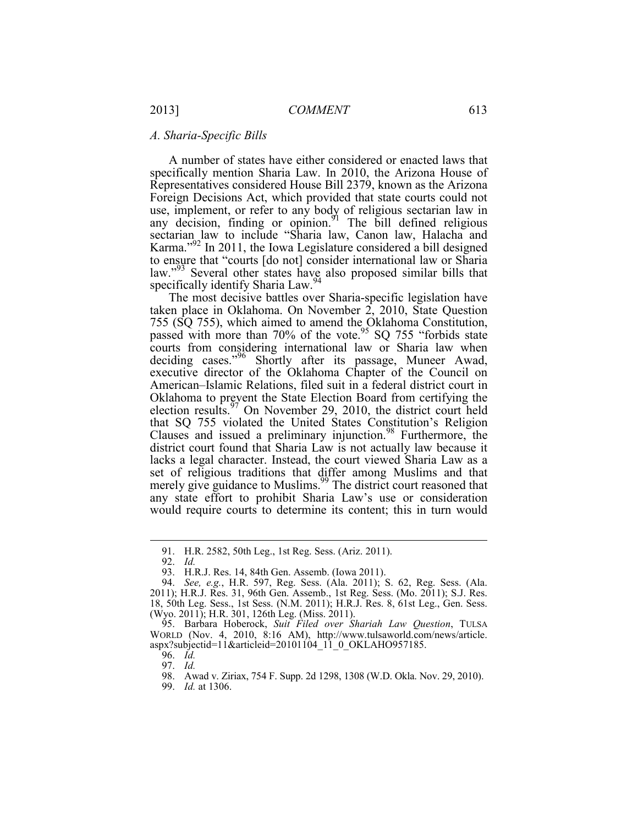## *A. Sharia-Specific Bills*

A number of states have either considered or enacted laws that specifically mention Sharia Law. In 2010, the Arizona House of Representatives considered House Bill 2379, known as the Arizona Foreign Decisions Act, which provided that state courts could not use, implement, or refer to any body of religious sectarian law in any decision, finding or opinion. The bill defined religious sectarian law to include "Sharia law, Canon law, Halacha and Karma."92 In 2011, the Iowa Legislature considered a bill designed to ensure that "courts [do not] consider international law or Sharia law."<sup>93</sup> Several other states have also proposed similar bills that specifically identify Sharia Law.<sup>9</sup>

The most decisive battles over Sharia-specific legislation have taken place in Oklahoma. On November 2, 2010, State Question 755 (SQ 755), which aimed to amend the Oklahoma Constitution, passed with more than  $70\%$  of the vote.<sup>95</sup> SQ 755 "forbids state courts from considering international law or Sharia law when deciding cases."<sup>96</sup> Shortly after its passage, Muneer Awad, executive director of the Oklahoma Chapter of the Council on American–Islamic Relations, filed suit in a federal district court in Oklahoma to prevent the State Election Board from certifying the election results.<sup>97</sup> On November 29, 2010, the district court held that SQ 755 violated the United States Constitution's Religion Clauses and issued a preliminary injunction.98 Furthermore, the district court found that Sharia Law is not actually law because it lacks a legal character. Instead, the court viewed Sharia Law as a set of religious traditions that differ among Muslims and that merely give guidance to Muslims.<sup>99</sup> The district court reasoned that any state effort to prohibit Sharia Law's use or consideration would require courts to determine its content; this in turn would

<sup>91.</sup> H.R. 2582, 50th Leg., 1st Reg. Sess. (Ariz. 2011).

 <sup>92.</sup> *Id.* 

 93. H.R.J. Res. 14, 84th Gen. Assemb. (Iowa 2011).

 <sup>94.</sup> *See, e.g.*, H.R. 597, Reg. Sess. (Ala. 2011); S. 62, Reg. Sess. (Ala. 2011); H.R.J. Res. 31, 96th Gen. Assemb., 1st Reg. Sess. (Mo. 2011); S.J. Res. 18, 50th Leg. Sess., 1st Sess. (N.M. 2011); H.R.J. Res. 8, 61st Leg., Gen. Sess. (Wyo. 2011); H.R. 301, 126th Leg. (Miss. 2011).

 <sup>95.</sup> Barbara Hoberock, *Suit Filed over Shariah Law Question*, TULSA WORLD (Nov. 4, 2010, 8:16 AM), http://www.tulsaworld.com/news/article. aspx?subjectid=11&articleid=20101104\_11\_0\_OKLAHO957185.

 <sup>96.</sup> *Id.*

 97. *Id.* 98. Awad v. Ziriax, 754 F. Supp. 2d 1298, 1308 (W.D. Okla. Nov. 29, 2010).

 <sup>99.</sup> *Id.* at 1306.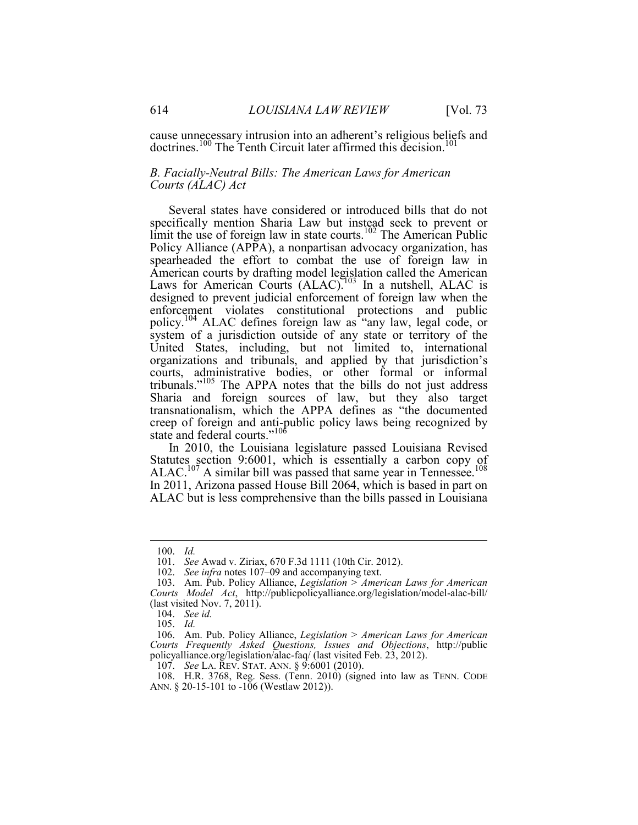cause unnecessary intrusion into an adherent's religious beliefs and doctrines.<sup>100</sup> The Tenth Circuit later affirmed this decision.<sup>101</sup>

## *B. Facially-Neutral Bills: The American Laws for American Courts (ALAC) Act*

Several states have considered or introduced bills that do not specifically mention Sharia Law but instead seek to prevent or limit the use of foreign law in state courts.<sup>102</sup> The American Public Policy Alliance (APPA), a nonpartisan advocacy organization, has spearheaded the effort to combat the use of foreign law in American courts by drafting model legislation called the American Laws for American Courts (ALAC).<sup>103</sup> In a nutshell, ALAC is designed to prevent judicial enforcement of foreign law when the enforcement violates constitutional protections and public policy.104 ALAC defines foreign law as "any law, legal code, or system of a jurisdiction outside of any state or territory of the United States, including, but not limited to, international organizations and tribunals, and applied by that jurisdiction's courts, administrative bodies, or other formal or informal tribunals."105 The APPA notes that the bills do not just address Sharia and foreign sources of law, but they also target transnationalism, which the APPA defines as "the documented creep of foreign and anti-public policy laws being recognized by state and federal courts."<sup>106</sup>

In 2010, the Louisiana legislature passed Louisiana Revised Statutes section 9:6001, which is essentially a carbon copy of ALAC.<sup>107</sup> A similar bill was passed that same year in Tennessee.<sup>108</sup> In 2011, Arizona passed House Bill 2064, which is based in part on ALAC but is less comprehensive than the bills passed in Louisiana

 <sup>100.</sup> *Id.*

 <sup>101.</sup> *See* Awad v. Ziriax, 670 F.3d 1111 (10th Cir. 2012).

 <sup>102.</sup> *See infra* notes 107–09 and accompanying text.

<sup>103.</sup> Am. Pub. Policy Alliance, *Legislation > American Laws for American Courts Model Act*, http://publicpolicyalliance.org/legislation/model-alac-bill/ (last visited Nov. 7, 2011).

 <sup>104.</sup> *See id.* 

 <sup>105.</sup> *Id.* 

<sup>106.</sup> Am. Pub. Policy Alliance, *Legislation > American Laws for American Courts Frequently Asked Questions, Issues and Objections*, http://public policyalliance.org/legislation/alac-faq/ (last visited Feb. 23, 2012).

 107. *See* LA. REV. STAT. ANN. § 9:6001 (2010). 108. H.R. 3768, Reg. Sess. (Tenn. 2010) (signed into law as TENN. CODE ANN.  $\S 20-15-101$  to  $-106$  (Westlaw 2012)).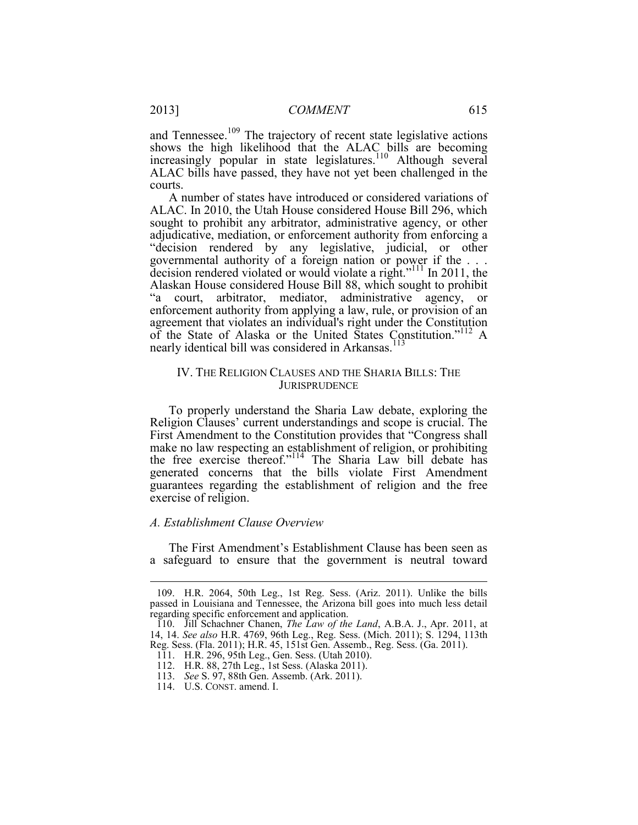and Tennessee.<sup>109</sup> The trajectory of recent state legislative actions shows the high likelihood that the ALAC bills are becoming increasingly popular in state legislatures.<sup>110</sup> Although several ALAC bills have passed, they have not yet been challenged in the courts.

 adjudicative, mediation, or enforcement authority from enforcing a decision rendered violated or would violate a right."<sup>111</sup> In 2011, the A number of states have introduced or considered variations of ALAC. In 2010, the Utah House considered House Bill 296, which sought to prohibit any arbitrator, administrative agency, or other "decision rendered by any legislative, judicial, or other governmental authority of a foreign nation or power if the . . . Alaskan House considered House Bill 88, which sought to prohibit "a court, arbitrator, mediator, administrative agency, or enforcement authority from applying a law, rule, or provision of an agreement that violates an individual's right under the Constitution of the State of Alaska or the United States Constitution."112 A nearly identical bill was considered in Arkansas.<sup>113</sup>

## IV. THE RELIGION CLAUSES AND THE SHARIA BILLS: THE **JURISPRUDENCE**

To properly understand the Sharia Law debate, exploring the Religion Clauses' current understandings and scope is crucial. The First Amendment to the Constitution provides that "Congress shall make no law respecting an establishment of religion, or prohibiting the free exercise thereof."<sup>114</sup> The Sharia Law bill debate has generated concerns that the bills violate First Amendment guarantees regarding the establishment of religion and the free exercise of religion.

## *A. Establishment Clause Overview*

The First Amendment's Establishment Clause has been seen as a safeguard to ensure that the government is neutral toward

<sup>109.</sup> H.R. 2064, 50th Leg., 1st Reg. Sess. (Ariz. 2011). Unlike the bills passed in Louisiana and Tennessee, the Arizona bill goes into much less detail regarding specific enforcement and application.

 110. Jill Schachner Chanen, *The Law of the Land*, A.B.A. J., Apr. 2011, at 14, 14. *See also* H.R. 4769, 96th Leg., Reg. Sess. (Mich. 2011); S. 1294, 113th Reg. Sess. (Fla. 2011); H.R. 45, 151st Gen. Assemb., Reg. Sess. (Ga. 2011).

<sup>111.</sup> H.R. 296, 95th Leg., Gen. Sess. (Utah 2010).

<sup>112.</sup> H.R. 88, 27th Leg., 1st Sess. (Alaska 2011).

 <sup>113.</sup> *See* S. 97, 88th Gen. Assemb. (Ark. 2011).

 <sup>114.</sup> U.S. CONST. amend. I.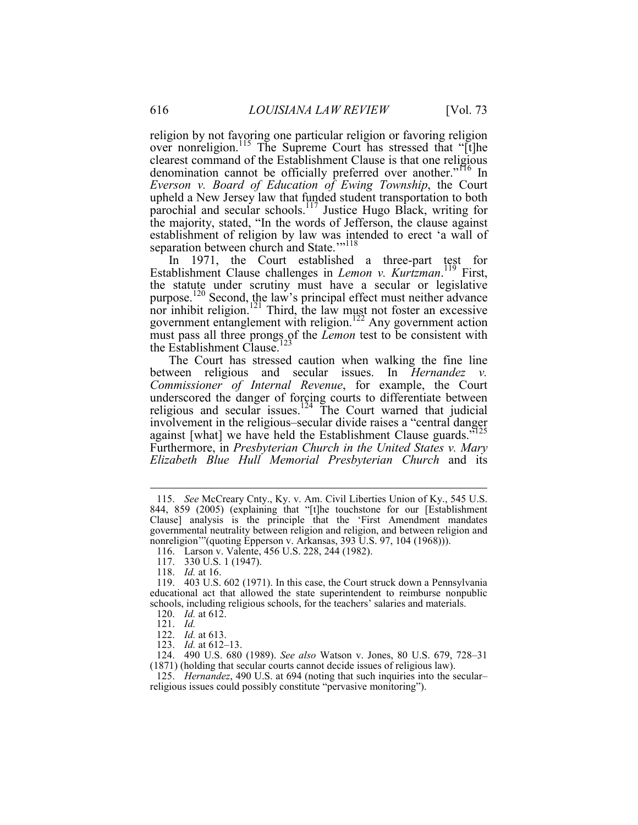religion by not favoring one particular religion or favoring religion over nonreligion.<sup>115</sup> The Supreme Court has stressed that "[t]he clearest command of the Establishment Clause is that one religious denomination cannot be officially preferred over another."<sup>116</sup> In *Everson v. Board of Education of Ewing Township*, the Court upheld a New Jersey law that funded student transportation to both parochial and secular schools.<sup>117</sup> Justice Hugo Black, writing for the majority, stated, "In the words of Jefferson, the clause against establishment of religion by law was intended to erect 'a wall of separation between church and State."<sup>118</sup>

In 1971, the Court established a three-part test for Establishment Clause challenges in *Lemon v. Kurtzman*. 119 First, the statute under scrutiny must have a secular or legislative purpose.<sup>120</sup> Second, the law's principal effect must neither advance nor inhibit religion.<sup>121</sup> Third, the law must not foster an excessive government entanglement with religion.<sup>122</sup> Any government action must pass all three prongs of the *Lemon* test to be consistent with the Establishment Clause.<sup>123</sup>

The Court has stressed caution when walking the fine line between religious and secular issues. In *Hernandez v. Commissioner of Internal Revenue*, for example, the Court underscored the danger of forcing courts to differentiate between religious and secular issues.<sup>124</sup> The Court warned that judicial involvement in the religious–secular divide raises a "central danger against [what] we have held the Establishment Clause guards."<sup>125</sup> Furthermore, in *Presbyterian Church in the United States v. Mary Elizabeth Blue Hull Memorial Presbyterian Church* and its

 <sup>115.</sup> *See* McCreary Cnty., Ky. v. Am. Civil Liberties Union of Ky., 545 U.S. 844, 859 (2005) (explaining that "[t]he touchstone for our [Establishment Clause] analysis is the principle that the 'First Amendment mandates governmental neutrality between religion and religion, and between religion and nonreligion'"(quoting Epperson v. Arkansas, 393 U.S. 97, 104 (1968))).

<sup>116.</sup> Larson v. Valente, 456 U.S. 228, 244 (1982).

<sup>117. 330</sup> U.S. 1 (1947).

 <sup>118.</sup> *Id.* at 16.

 schools, including religious schools, for the teachers' salaries and materials. 119. 403 U.S. 602 (1971). In this case, the Court struck down a Pennsylvania educational act that allowed the state superintendent to reimburse nonpublic

 <sup>120.</sup> *Id.* at 612.

 <sup>121.</sup> *Id.*

 <sup>122.</sup> *Id.* at 613.

 <sup>123.</sup> *Id.* at 612–13.

<sup>124. 490</sup> U.S. 680 (1989). *See also* Watson v. Jones, 80 U.S. 679, 728–31 (1871) (holding that secular courts cannot decide issues of religious law).

 religious issues could possibly constitute "pervasive monitoring"). 125. *Hernandez*, 490 U.S. at 694 (noting that such inquiries into the secular–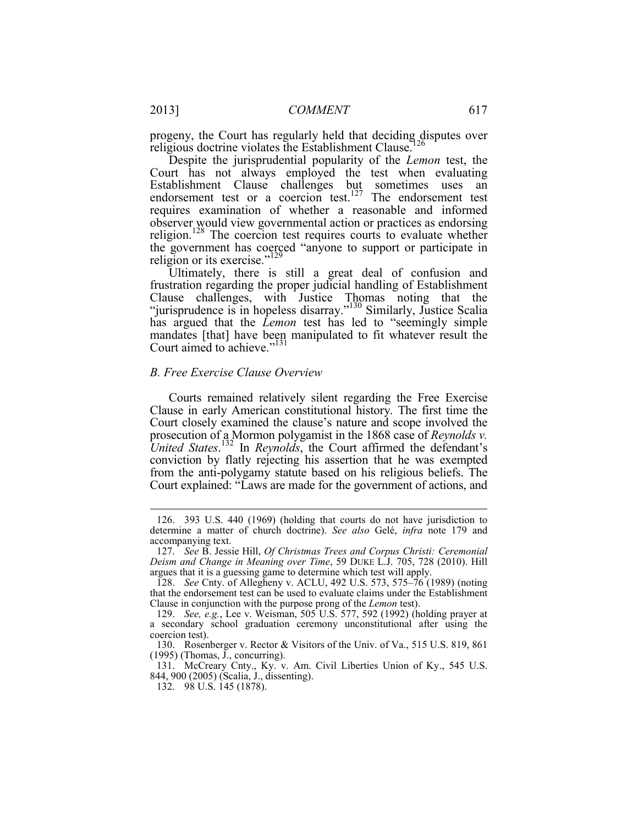progeny, the Court has regularly held that deciding disputes over religious doctrine violates the Establishment Clause.<sup>126</sup>

Despite the jurisprudential popularity of the *Lemon* test, the Court has not always employed the test when evaluating Establishment Clause challenges but sometimes uses an endorsement test or a coercion test.<sup>127</sup> The endorsement test requires examination of whether a reasonable and informed observer would view governmental action or practices as endorsing religion.<sup>128</sup> The coercion test requires courts to evaluate whether the government has coerced "anyone to support or participate in religion or its exercise."<sup>129</sup>

Ultimately, there is still a great deal of confusion and frustration regarding the proper judicial handling of Establishment Clause challenges, with Justice Thomas noting that the "jurisprudence is in hopeless disarray."<sup>130</sup> Similarly, Justice Scalia has argued that the *Lemon* test has led to "seemingly simple mandates [that] have been manipulated to fit whatever result the Court aimed to achieve."<sup>131</sup>

## *B. Free Exercise Clause Overview*

Courts remained relatively silent regarding the Free Exercise Clause in early American constitutional history. The first time the Court closely examined the clause's nature and scope involved the prosecution of a Mormon polygamist in the 1868 case of *Reynolds v. United States*. 132 In *Reynolds*, the Court affirmed the defendant's conviction by flatly rejecting his assertion that he was exempted from the anti-polygamy statute based on his religious beliefs. The Court explained: "Laws are made for the government of actions, and

<sup>126. 393</sup> U.S. 440 (1969) (holding that courts do not have jurisdiction to determine a matter of church doctrine). *See also* Gelé, *infra* note 179 and accompanying text.

 127. *See* B. Jessie Hill, *Of Christmas Trees and Corpus Christi: Ceremonial* argues that it is a guessing game to determine which test will apply. *Deism and Change in Meaning over Time*, 59 DUKE L.J. 705, 728 (2010). Hill

 <sup>128.</sup> *See* Cnty. of Allegheny v. ACLU, 492 U.S. 573, 575–76 (1989) (noting that the endorsement test can be used to evaluate claims under the Establishment Clause in conjunction with the purpose prong of the *Lemon* test).

 a secondary school graduation ceremony unconstitutional after using the 129. *See, e.g.*, Lee v. Weisman, 505 U.S. 577, 592 (1992) (holding prayer at coercion test).

<sup>130.</sup> Rosenberger v. Rector & Visitors of the Univ. of Va., 515 U.S. 819, 861 (1995) (Thomas, J., concurring).

<sup>131.</sup> McCreary Cnty., Ky. v. Am. Civil Liberties Union of Ky., 545 U.S. 844, 900 (2005) (Scalia, J., dissenting).

<sup>132. 98</sup> U.S. 145 (1878).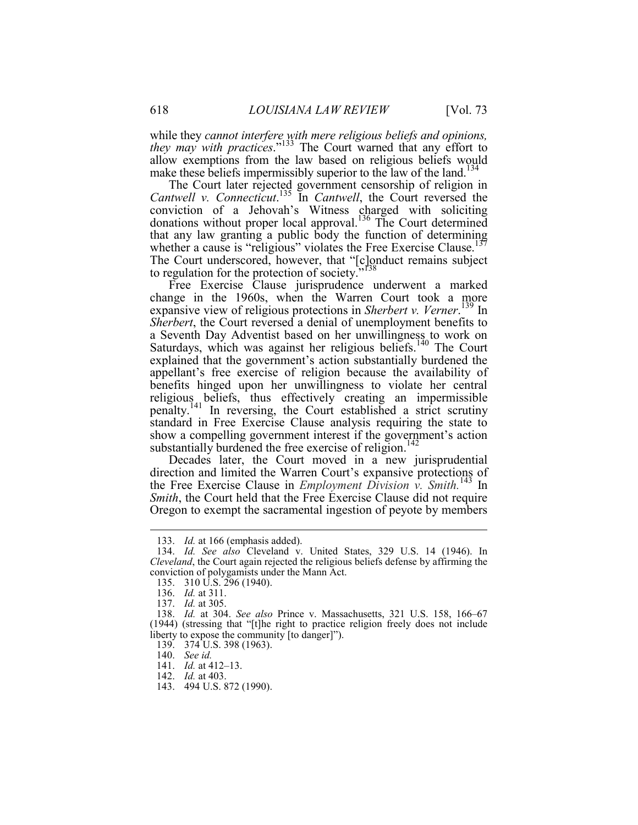make these beliefs impermissibly superior to the law of the land.<sup>134</sup> while they *cannot interfere with mere religious beliefs and opinions, they may with practices*."133 The Court warned that any effort to allow exemptions from the law based on religious beliefs would

The Court later rejected government censorship of religion in *Cantwell v. Connecticut*. 135 In *Cantwell*, the Court reversed the conviction of a Jehovah's Witness charged with soliciting donations without proper local approval.<sup>136</sup> The Court determined that any law granting a public body the function of determining whether a cause is "religious" violates the Free Exercise Clause.<sup>137</sup> The Court underscored, however, that "[c]onduct remains subject to regulation for the protection of society.'

Free Exercise Clause jurisprudence underwent a marked change in the 1960s, when the Warren Court took a more expansive view of religious protections in *Sherbert v. Verner*. 139 In *Sherbert*, the Court reversed a denial of unemployment benefits to a Seventh Day Adventist based on her unwillingness to work on Saturdays, which was against her religious beliefs.140 The Court explained that the government's action substantially burdened the appellant's free exercise of religion because the availability of benefits hinged upon her unwillingness to violate her central religious beliefs, thus effectively creating an impermissible penalty.141 In reversing, the Court established a strict scrutiny standard in Free Exercise Clause analysis requiring the state to show a compelling government interest if the government's action substantially burdened the free exercise of religion.<sup>142</sup>

Decades later, the Court moved in a new jurisprudential direction and limited the Warren Court's expansive protections of the Free Exercise Clause in *Employment Division v. Smith.*143 In *Smith*, the Court held that the Free Exercise Clause did not require Oregon to exempt the sacramental ingestion of peyote by members

 <sup>133.</sup> *Id.* at 166 (emphasis added).

 *Cleveland*, the Court again rejected the religious beliefs defense by affirming the conviction of polygamists under the Mann Act. 134. *Id. See also* Cleveland v. United States, 329 U.S. 14 (1946). In

<sup>135. 310</sup> U.S. 296 (1940).

 <sup>136.</sup> *Id.* at 311.

 <sup>137.</sup> *Id.* at 305.

 <sup>138.</sup> *Id.* at 304. *See also* Prince v. Massachusetts, 321 U.S. 158, 166–67 (1944) (stressing that "[t]he right to practice religion freely does not include liberty to expose the community [to danger]").

<sup>139. 374</sup> U.S. 398 (1963).

 <sup>140.</sup> *See id.*

 <sup>141.</sup> *Id.* at 412–13.

 <sup>142.</sup> *Id.* at 403.

<sup>143. 494</sup> U.S. 872 (1990).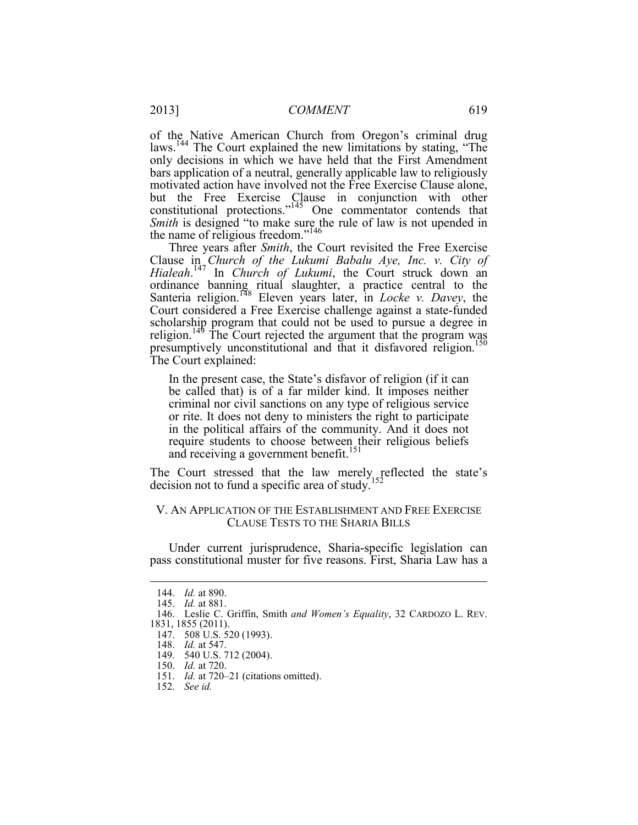of the Native American Church from Oregon's criminal drug laws.<sup>144</sup> The Court explained the new limitations by stating, "The only decisions in which we have held that the First Amendment bars application of a neutral, generally applicable law to religiously motivated action have involved not the Free Exercise Clause alone, but the Free Exercise Clause in conjunction with other constitutional protections."145 One commentator contends that *Smith* is designed "to make sure the rule of law is not upended in the name of religious freedom."<sup>146</sup>

Three years after *Smith*, the Court revisited the Free Exercise Clause in *Church of the Lukumi Babalu Aye, Inc. v. City of Hialeah*. 147 In *Church of Lukumi*, the Court struck down an ordinance banning ritual slaughter, a practice central to the Santeria religion.148 Eleven years later, in *Locke v. Davey*, the Court considered a Free Exercise challenge against a state-funded scholarship program that could not be used to pursue a degree in religion.<sup>149</sup> The Court rejected the argument that the program was presumptively unconstitutional and that it disfavored religion.150 The Court explained:

In the present case, the State's disfavor of religion (if it can be called that) is of a far milder kind. It imposes neither criminal nor civil sanctions on any type of religious service or rite. It does not deny to ministers the right to participate in the political affairs of the community. And it does not require students to choose between their religious beliefs and receiving a government benefit.<sup>151</sup>

The Court stressed that the law merely reflected the state's decision not to fund a specific area of study.<sup>152</sup>

## V. AN APPLICATION OF THE ESTABLISHMENT AND FREE EXERCISE CLAUSE TESTS TO THE SHARIA BILLS

 pass constitutional muster for five reasons. First, Sharia Law has a Under current jurisprudence, Sharia-specific legislation can

 <sup>144.</sup> *Id.* at 890.

 <sup>145.</sup> *Id.* at 881.

<sup>146.</sup> Leslie C. Griffin, Smith *and Women's Equality*, 32 CARDOZO L. REV.

<sup>1831, 1855 (2011).</sup> 

<sup>147. 508</sup> U.S. 520 (1993).

 <sup>148.</sup> *Id.* at 547.

<sup>149. 540</sup> U.S. 712 (2004).

 <sup>150.</sup> *Id.* at 720.

 <sup>151.</sup> *Id.* at 720–21 (citations omitted).

 <sup>152.</sup> *See id.*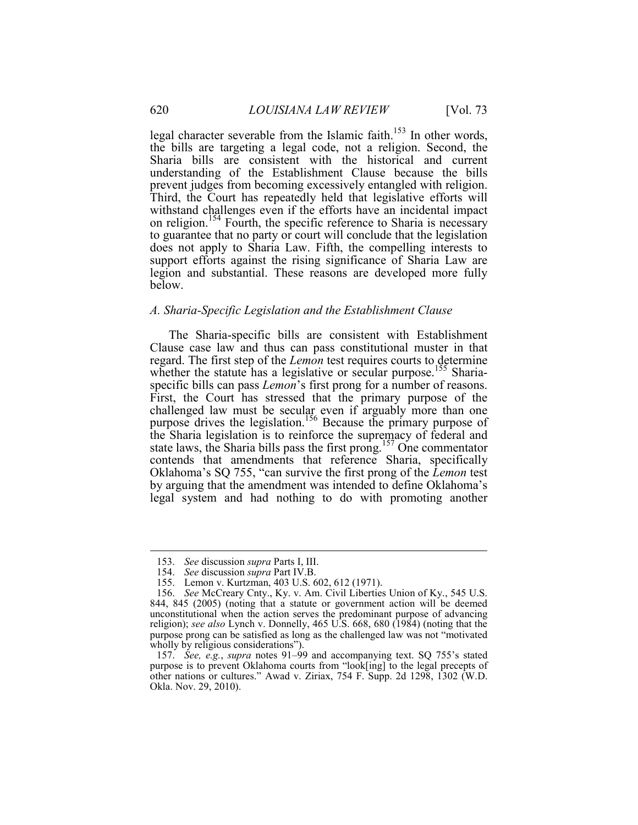legal character severable from the Islamic faith.<sup>153</sup> In other words, the bills are targeting a legal code, not a religion. Second, the Sharia bills are consistent with the historical and current understanding of the Establishment Clause because the bills prevent judges from becoming excessively entangled with religion. Third, the Court has repeatedly held that legislative efforts will withstand challenges even if the efforts have an incidental impact on religion.<sup>154</sup> Fourth, the specific reference to Sharia is necessary to guarantee that no party or court will conclude that the legislation does not apply to Sharia Law. Fifth, the compelling interests to support efforts against the rising significance of Sharia Law are legion and substantial. These reasons are developed more fully below.

## *A. Sharia-Specific Legislation and the Establishment Clause*

The Sharia-specific bills are consistent with Establishment Clause case law and thus can pass constitutional muster in that regard. The first step of the *Lemon* test requires courts to determine whether the statute has a legislative or secular purpose.<sup>155</sup> Shariaspecific bills can pass *Lemon*'s first prong for a number of reasons. First, the Court has stressed that the primary purpose of the challenged law must be secular even if arguably more than one purpose drives the legislation.<sup>156</sup> Because the primary purpose of the Sharia legislation is to reinforce the supremacy of federal and state laws, the Sharia bills pass the first prong.<sup>157</sup> One commentator contends that amendments that reference Sharia, specifically Oklahoma's SQ 755, "can survive the first prong of the *Lemon* test by arguing that the amendment was intended to define Oklahoma's legal system and had nothing to do with promoting another

 <sup>153.</sup> *See* discussion *supra* Parts I, III.

 <sup>154.</sup> *See* discussion *supra* Part IV.B.

 <sup>155.</sup> Lemon v. Kurtzman, 403 U.S. 602, 612 (1971).

 religion); *see also* Lynch v. Donnelly, 465 U.S. 668, 680 (1984) (noting that the 156. *See* McCreary Cnty., Ky. v. Am. Civil Liberties Union of Ky., 545 U.S. 844, 845 (2005) (noting that a statute or government action will be deemed unconstitutional when the action serves the predominant purpose of advancing purpose prong can be satisfied as long as the challenged law was not "motivated wholly by religious considerations").

 <sup>157.</sup> *See, e.g.*, *supra* notes 91–99 and accompanying text. SQ 755's stated purpose is to prevent Oklahoma courts from "look[ing] to the legal precepts of other nations or cultures." Awad v. Ziriax, 754 F. Supp. 2d 1298, 1302 (W.D. Okla. Nov. 29, 2010).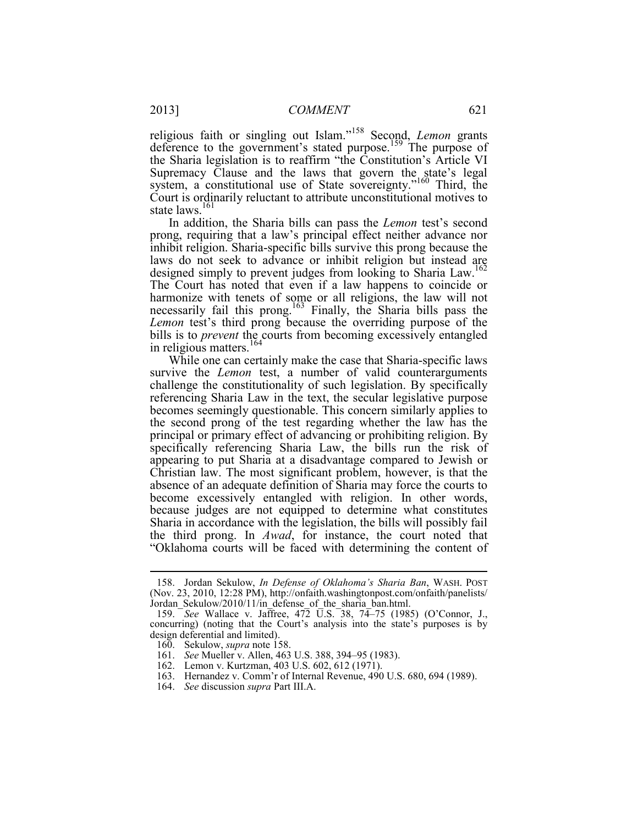state laws.<sup>161</sup> religious faith or singling out Islam."158 Second, *Lemon* grants deference to the government's stated purpose.<sup>159</sup> The purpose of the Sharia legislation is to reaffirm "the Constitution's Article VI Supremacy Clause and the laws that govern the state's legal system, a constitutional use of State sovereignty."160 Third, the Court is ordinarily reluctant to attribute unconstitutional motives to

In addition, the Sharia bills can pass the *Lemon* test's second prong, requiring that a law's principal effect neither advance nor inhibit religion. Sharia-specific bills survive this prong because the laws do not seek to advance or inhibit religion but instead are designed simply to prevent judges from looking to Sharia Law.<sup>162</sup> The Court has noted that even if a law happens to coincide or harmonize with tenets of some or all religions, the law will not necessarily fail this prong.<sup>163</sup> Finally, the Sharia bills pass the *Lemon* test's third prong because the overriding purpose of the bills is to *prevent* the courts from becoming excessively entangled in religious matters.<sup>164</sup>

While one can certainly make the case that Sharia-specific laws survive the *Lemon* test, a number of valid counterarguments challenge the constitutionality of such legislation. By specifically referencing Sharia Law in the text, the secular legislative purpose becomes seemingly questionable. This concern similarly applies to the second prong of the test regarding whether the law has the principal or primary effect of advancing or prohibiting religion. By specifically referencing Sharia Law, the bills run the risk of appearing to put Sharia at a disadvantage compared to Jewish or Christian law. The most significant problem, however, is that the absence of an adequate definition of Sharia may force the courts to become excessively entangled with religion. In other words, because judges are not equipped to determine what constitutes Sharia in accordance with the legislation, the bills will possibly fail the third prong. In *Awad*, for instance, the court noted that "Oklahoma courts will be faced with determining the content of

 <sup>158.</sup> Jordan Sekulow, *In Defense of Oklahoma's Sharia Ban*, WASH. POST (Nov. 23, 2010, 12:28 PM), http://onfaith.washingtonpost.com/onfaith/panelists/ Jordan\_Sekulow/2010/11/in\_defense\_of\_the\_sharia\_ban.html.

 <sup>159.</sup> *See* Wallace v. Jaffree, 472 U.S. 38, 74–75 (1985) (O'Connor, J., concurring) (noting that the Court's analysis into the state's purposes is by design deferential and limited).

 <sup>160.</sup> Sekulow, *supra* note 158.

 <sup>161.</sup> *See* Mueller v. Allen, 463 U.S. 388, 394–95 (1983).

 <sup>162.</sup> Lemon v. Kurtzman, 403 U.S. 602, 612 (1971).

<sup>163.</sup> Hernandez v. Comm'r of Internal Revenue, 490 U.S. 680, 694 (1989).

 <sup>164.</sup> *See* discussion *supra* Part III.A.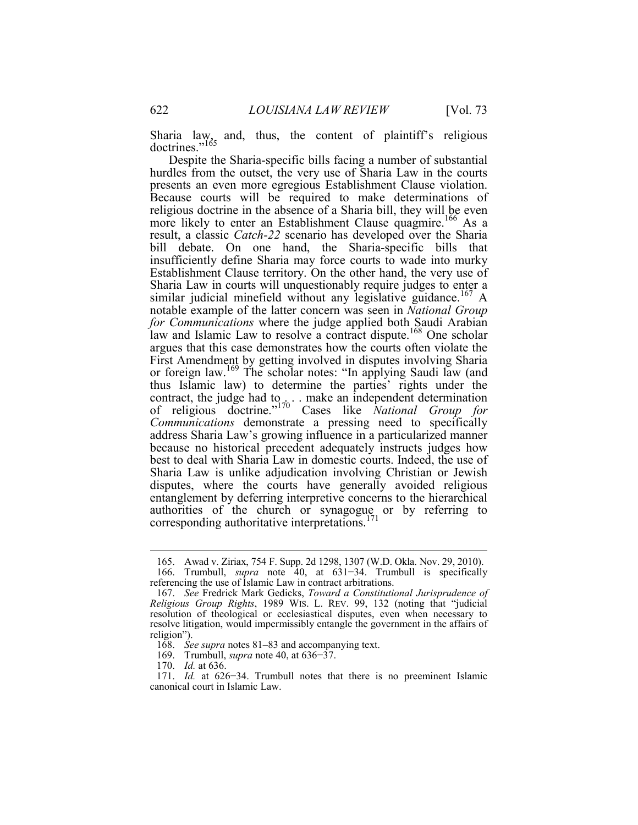Sharia law, and, thus, the content of plaintiff's religious doctrines."<sup>165</sup>

 Despite the Sharia-specific bills facing a number of substantial Establishment Clause territory. On the other hand, the very use of best to deal with Sharia Law in domestic courts. Indeed, the use of hurdles from the outset, the very use of Sharia Law in the courts presents an even more egregious Establishment Clause violation. Because courts will be required to make determinations of religious doctrine in the absence of a Sharia bill, they will be even more likely to enter an Establishment Clause quagmire.<sup>166</sup> As a result, a classic *Catch-22* scenario has developed over the Sharia bill debate. On one hand, the Sharia-specific bills that insufficiently define Sharia may force courts to wade into murky Sharia Law in courts will unquestionably require judges to enter a similar judicial minefield without any legislative guidance.<sup>167</sup> A notable example of the latter concern was seen in *National Group for Communications* where the judge applied both Saudi Arabian law and Islamic Law to resolve a contract dispute.<sup>168</sup> One scholar argues that this case demonstrates how the courts often violate the First Amendment by getting involved in disputes involving Sharia or foreign law.169 The scholar notes: "In applying Saudi law (and thus Islamic law) to determine the parties' rights under the contract, the judge had to  $\ldots$  make an independent determination of religious doctrine."170 Cases like *National Group for Communications* demonstrate a pressing need to specifically address Sharia Law's growing influence in a particularized manner because no historical precedent adequately instructs judges how Sharia Law is unlike adjudication involving Christian or Jewish disputes, where the courts have generally avoided religious entanglement by deferring interpretive concerns to the hierarchical authorities of the church or synagogue or by referring to corresponding authoritative interpretations. $171$ 

169. Trumbull, *supra* note 40, at 636−37.

170. *Id.* at 636.

<sup>165.</sup> Awad v. Ziriax, 754 F. Supp. 2d 1298, 1307 (W.D. Okla. Nov. 29, 2010).

 <sup>166.</sup> Trumbull, *supra* note 40, at 631−34. Trumbull is specifically referencing the use of Islamic Law in contract arbitrations.

 *Religious Group Rights*, 1989 WIS. L. REV. 99, 132 (noting that "judicial 167. *See* Fredrick Mark Gedicks, *Toward a Constitutional Jurisprudence of*  resolution of theological or ecclesiastical disputes, even when necessary to resolve litigation, would impermissibly entangle the government in the affairs of religion").

 <sup>168.</sup> *See supra* notes 81–83 and accompanying text.

 canonical court in Islamic Law. 171. *Id.* at 626−34. Trumbull notes that there is no preeminent Islamic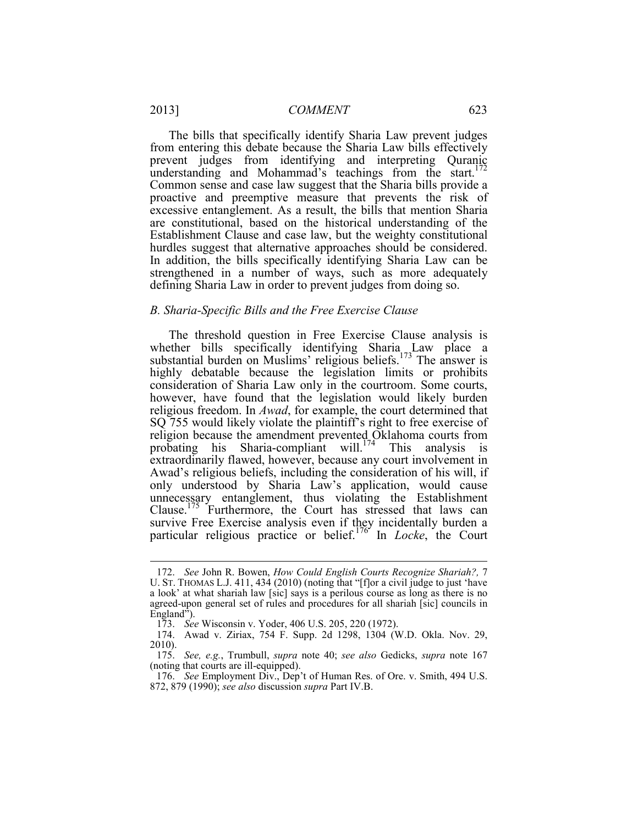The bills that specifically identify Sharia Law prevent judges from entering this debate because the Sharia Law bills effectively prevent judges from identifying and interpreting Quranic understanding and Mohammad's teachings from the start.<sup>172</sup> Common sense and case law suggest that the Sharia bills provide a proactive and preemptive measure that prevents the risk of excessive entanglement. As a result, the bills that mention Sharia are constitutional, based on the historical understanding of the Establishment Clause and case law, but the weighty constitutional hurdles suggest that alternative approaches should be considered. In addition, the bills specifically identifying Sharia Law can be strengthened in a number of ways, such as more adequately defining Sharia Law in order to prevent judges from doing so.

## *B. Sharia-Specific Bills and the Free Exercise Clause*

whether bills specifically identifying Sharia Law place a survive Free Exercise analysis even if they incidentally burden a The threshold question in Free Exercise Clause analysis is substantial burden on Muslims' religious beliefs.<sup>173</sup> The answer is highly debatable because the legislation limits or prohibits consideration of Sharia Law only in the courtroom. Some courts, however, have found that the legislation would likely burden religious freedom. In *Awad*, for example, the court determined that SQ 755 would likely violate the plaintiff's right to free exercise of religion because the amendment prevented Oklahoma courts from probating his Sharia-compliant will.<sup>174</sup> This analysis is extraordinarily flawed, however, because any court involvement in Awad's religious beliefs, including the consideration of his will, if only understood by Sharia Law's application, would cause unnecessary entanglement, thus violating the Establishment Clause.175 Furthermore, the Court has stressed that laws can particular religious practice or belief.176 In *Locke*, the Court

<u>.</u>

 <sup>172.</sup> *See* John R. Bowen, *How Could English Courts Recognize Shariah?,* 7 U. ST. THOMAS L.J. 411, 434 (2010) (noting that "[f]or a civil judge to just 'have a look' at what shariah law [sic] says is a perilous course as long as there is no agreed-upon general set of rules and procedures for all shariah [sic] councils in England").

<sup>173.</sup> See Wisconsin v. Yoder, 406 U.S. 205, 220 (1972).

<sup>174.</sup> Awad v. Ziriax, 754 F. Supp. 2d 1298, 1304 (W.D. Okla. Nov. 29, 2010).

 (noting that courts are ill-equipped). 175. *See, e.g.*, Trumbull, *supra* note 40; *see also* Gedicks, *supra* note 167

 <sup>176.</sup> *See* Employment Div., Dep't of Human Res. of Ore. v. Smith, 494 U.S. 872, 879 (1990); *see also* discussion *supra* Part IV.B.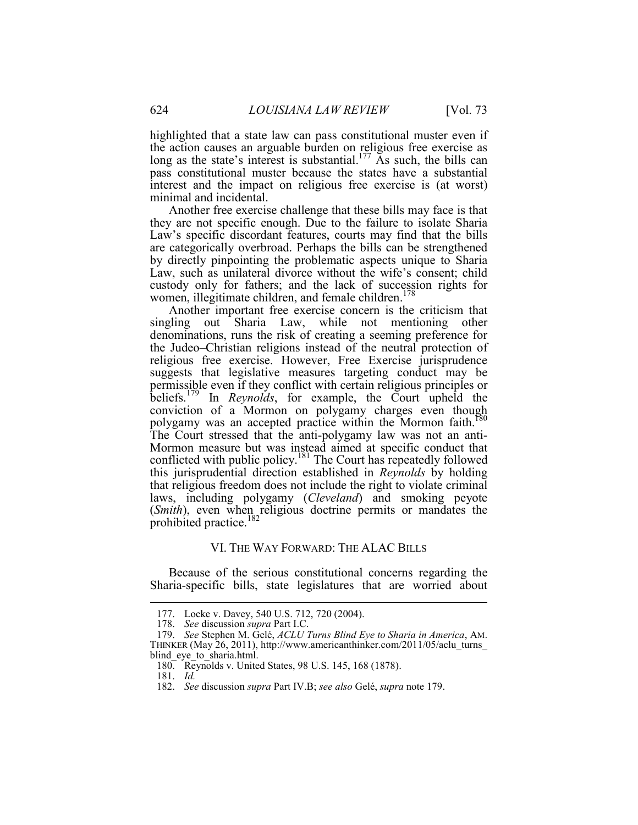highlighted that a state law can pass constitutional muster even if the action causes an arguable burden on religious free exercise as long as the state's interest is substantial.<sup>177</sup> As such, the bills can pass constitutional muster because the states have a substantial interest and the impact on religious free exercise is (at worst) minimal and incidental.

 Another free exercise challenge that these bills may face is that they are not specific enough. Due to the failure to isolate Sharia Law's specific discordant features, courts may find that the bills are categorically overbroad. Perhaps the bills can be strengthened by directly pinpointing the problematic aspects unique to Sharia Law, such as unilateral divorce without the wife's consent; child custody only for fathers; and the lack of succession rights for women, illegitimate children, and female children.<sup>178</sup>

Another important free exercise concern is the criticism that singling out Sharia Law, while not mentioning other denominations, runs the risk of creating a seeming preference for the Judeo–Christian religions instead of the neutral protection of religious free exercise. However, Free Exercise jurisprudence suggests that legislative measures targeting conduct may be permissible even if they conflict with certain religious principles or beliefs.179 In *Reynolds*, for example, the Court upheld the conviction of a Mormon on polygamy charges even though polygamy was an accepted practice within the Mormon faith.<sup>180</sup> The Court stressed that the anti-polygamy law was not an anti-Mormon measure but was instead aimed at specific conduct that conflicted with public policy.<sup>181</sup> The Court has repeatedly followed this jurisprudential direction established in *Reynolds* by holding that religious freedom does not include the right to violate criminal laws, including polygamy (*Cleveland*) and smoking peyote (*Smith*), even when religious doctrine permits or mandates the prohibited practice.<sup>182</sup>

#### VI. THE WAY FORWARD: THE ALAC BILLS

Because of the serious constitutional concerns regarding the Sharia-specific bills, state legislatures that are worried about

<sup>177.</sup> Locke v. Davey, 540 U.S. 712, 720 (2004).

 <sup>178.</sup> *See* discussion *supra* Part I.C.

 <sup>179.</sup> *See* Stephen M. Gelé, *ACLU Turns Blind Eye to Sharia in America*, AM. THINKER (May 26, 2011), http://www.americanthinker.com/2011/05/aclu\_turns\_ blind eye to sharia.html.

<sup>180.</sup> Reynolds v. United States, 98 U.S. 145, 168 (1878).

 181. *Id.*

 <sup>182.</sup> *See* discussion *supra* Part IV.B; *see also* Gelé, *supra* note 179.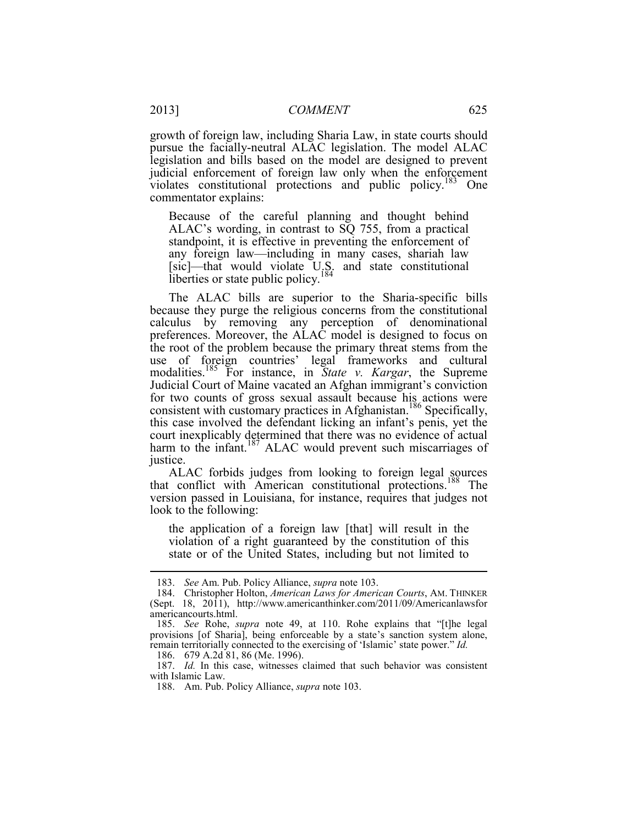growth of foreign law, including Sharia Law, in state courts should pursue the facially-neutral ALAC legislation. The model ALAC legislation and bills based on the model are designed to prevent judicial enforcement of foreign law only when the enforcement violates constitutional protections and public policy.<sup>183</sup> One commentator explains:

Because of the careful planning and thought behind ALAC's wording, in contrast to SQ 755, from a practical standpoint, it is effective in preventing the enforcement of any foreign law—including in many cases, shariah law [sic]—that would violate U.S. and state constitutional liberties or state public policy.<sup>184</sup>

 Judicial Court of Maine vacated an Afghan immigrant's conviction justice. The ALAC bills are superior to the Sharia-specific bills because they purge the religious concerns from the constitutional calculus by removing any perception of denominational preferences. Moreover, the ALAC model is designed to focus on the root of the problem because the primary threat stems from the use of foreign countries' legal frameworks and cultural modalities.185 For instance, in *State v. Kargar*, the Supreme for two counts of gross sexual assault because his actions were consistent with customary practices in Afghanistan.<sup>186</sup> Specifically, this case involved the defendant licking an infant's penis, yet the court inexplicably determined that there was no evidence of actual harm to the infant.<sup>187</sup> ALAC would prevent such miscarriages of

ALAC forbids judges from looking to foreign legal sources that conflict with American constitutional protections.<sup>188</sup> The version passed in Louisiana, for instance, requires that judges not look to the following:

the application of a foreign law [that] will result in the violation of a right guaranteed by the constitution of this state or of the United States, including but not limited to

 <sup>183.</sup> *See* Am. Pub. Policy Alliance, *supra* note 103.

 <sup>184.</sup> Christopher Holton, *American Laws for American Courts*, AM. THINKER (Sept. 18, 2011), http://www.americanthinker.com/2011/09/Americanlawsfor americancourts.html.

 <sup>185.</sup> *See* Rohe, *supra* note 49, at 110. Rohe explains that "[t]he legal provisions [of Sharia], being enforceable by a state's sanction system alone, remain territorially connected to the exercising of 'Islamic' state power." *Id.* 

<sup>186. 679</sup> A.2d 81, 86 (Me. 1996).

 with Islamic Law. 187. *Id.* In this case, witnesses claimed that such behavior was consistent

<sup>188.</sup> Am. Pub. Policy Alliance, *supra* note 103.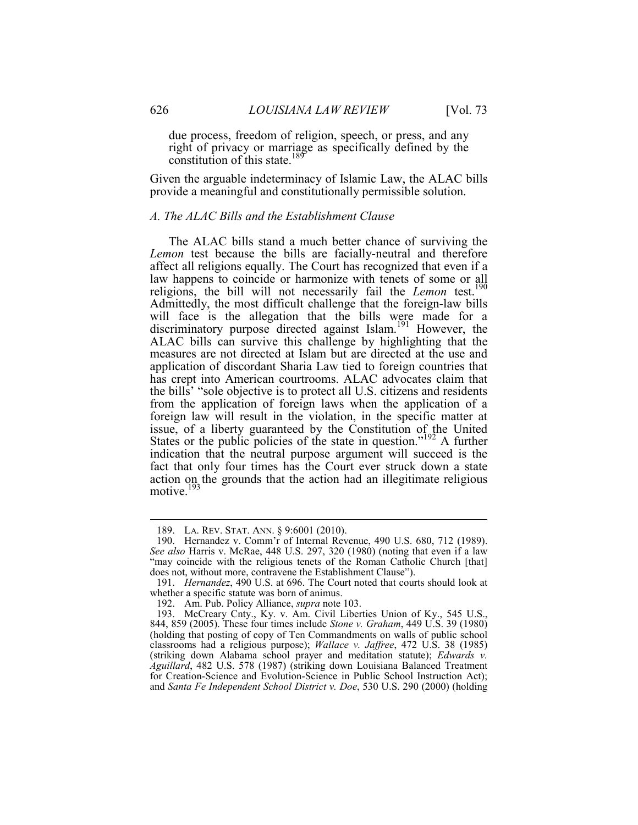due process, freedom of religion, speech, or press, and any right of privacy or marriage as specifically defined by the constitution of this state.<sup>189</sup>

 Given the arguable indeterminacy of Islamic Law, the ALAC bills provide a meaningful and constitutionally permissible solution.

## *A. The ALAC Bills and the Establishment Clause*

 issue, of a liberty guaranteed by the Constitution of the United The ALAC bills stand a much better chance of surviving the *Lemon* test because the bills are facially-neutral and therefore affect all religions equally. The Court has recognized that even if a law happens to coincide or harmonize with tenets of some or all religions, the bill will not necessarily fail the *Lemon* test.<sup>190</sup> Admittedly, the most difficult challenge that the foreign-law bills will face is the allegation that the bills were made for a discriminatory purpose directed against Islam.<sup>191</sup> However, the ALAC bills can survive this challenge by highlighting that the measures are not directed at Islam but are directed at the use and application of discordant Sharia Law tied to foreign countries that has crept into American courtrooms. ALAC advocates claim that the bills' "sole objective is to protect all U.S. citizens and residents from the application of foreign laws when the application of a foreign law will result in the violation, in the specific matter at States or the public policies of the state in question."<sup>192</sup> A further indication that the neutral purpose argument will succeed is the fact that only four times has the Court ever struck down a state action on the grounds that the action had an illegitimate religious motive.<sup>193</sup>

 <sup>189.</sup> LA. REV. STAT. ANN. § 9:6001 (2010).

 does not, without more, contravene the Establishment Clause"). 190. Hernandez v. Comm'r of Internal Revenue, 490 U.S. 680, 712 (1989). *See also* Harris v. McRae, 448 U.S. 297, 320 (1980) (noting that even if a law "may coincide with the religious tenets of the Roman Catholic Church [that]

 <sup>191.</sup> *Hernandez*, 490 U.S. at 696. The Court noted that courts should look at whether a specific statute was born of animus.

<sup>192.</sup> Am. Pub. Policy Alliance, *supra* note 103.

 193. McCreary Cnty., Ky. v. Am. Civil Liberties Union of Ky., 545 U.S., (holding that posting of copy of Ten Commandments on walls of public school for Creation-Science and Evolution-Science in Public School Instruction Act); 844, 859 (2005). These four times include *Stone v. Graham*, 449 U.S. 39 (1980) classrooms had a religious purpose); *Wallace v. Jaffree*, 472 U.S. 38 (1985) (striking down Alabama school prayer and meditation statute); *Edwards v. Aguillard*, 482 U.S. 578 (1987) (striking down Louisiana Balanced Treatment and *Santa Fe Independent School District v. Doe*, 530 U.S. 290 (2000) (holding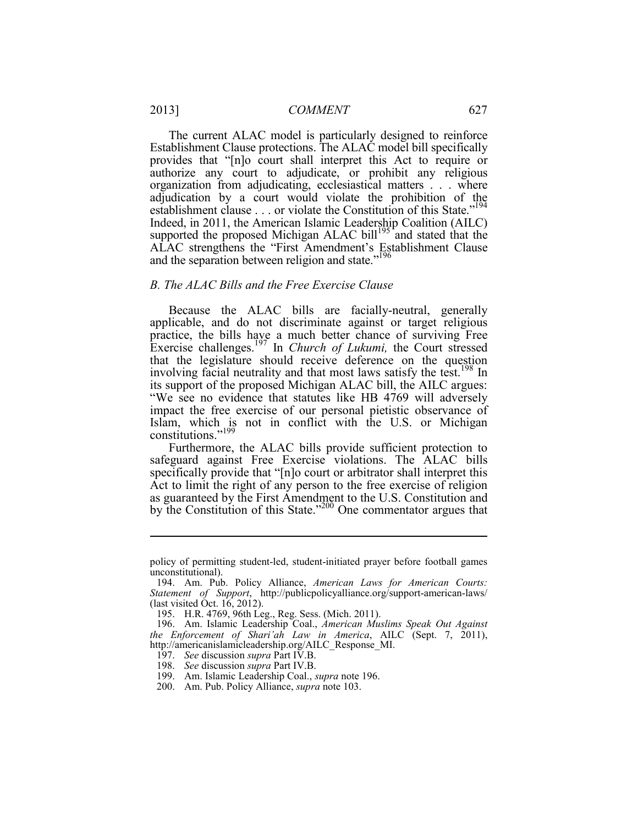The current ALAC model is particularly designed to reinforce Establishment Clause protections. The ALAC model bill specifically provides that "[n]o court shall interpret this Act to require or authorize any court to adjudicate, or prohibit any religious organization from adjudicating, ecclesiastical matters . . . where adjudication by a court would violate the prohibition of the establishment clause . . . or violate the Constitution of this State."<sup>194</sup> Indeed, in 2011, the American Islamic Leadership Coalition (AILC) supported the proposed Michigan ALAC bill<sup>195</sup> and stated that the ALAC strengthens the "First Amendment's Establishment Clause and the separation between religion and state."<sup>196</sup>

### *B. The ALAC Bills and the Free Exercise Clause*

 practice, the bills have a much better chance of surviving Free Because the ALAC bills are facially-neutral, generally applicable, and do not discriminate against or target religious Exercise challenges.197 In *Church of Lukumi,* the Court stressed that the legislature should receive deference on the question involving facial neutrality and that most laws satisfy the test.<sup>198</sup> In its support of the proposed Michigan ALAC bill, the AILC argues: "We see no evidence that statutes like HB 4769 will adversely impact the free exercise of our personal pietistic observance of Islam, which is not in conflict with the U.S. or Michigan constitutions."<sup>199</sup>

 Act to limit the right of any person to the free exercise of religion Furthermore, the ALAC bills provide sufficient protection to safeguard against Free Exercise violations. The ALAC bills specifically provide that "[n]o court or arbitrator shall interpret this as guaranteed by the First Amendment to the U.S. Constitution and by the Constitution of this State." $200$  One commentator argues that

198. *See* discussion *supra* Part IV.B.

policy of permitting student-led, student-initiated prayer before football games unconstitutional).

<sup>194.</sup> Am. Pub. Policy Alliance, *American Laws for American Courts: Statement of Support*, http://publicpolicyalliance.org/support-american-laws/ (last visited  $\text{\r{Oct.}}\;16,2012$ ).

<sup>195.</sup> H.R. 4769, 96th Leg., Reg. Sess. (Mich. 2011).

<sup>196.</sup> Am. Islamic Leadership Coal., *American Muslims Speak Out Against the Enforcement of Shari'ah Law in America*, AILC (Sept. 7, 2011), http://americanislamicleadership.org/AILC\_Response\_MI. 197. *See* discussion *supra* Part IV.B.

<sup>199.</sup> Am. Islamic Leadership Coal., *supra* note 196.

<sup>200.</sup> Am. Pub. Policy Alliance, *supra* note 103.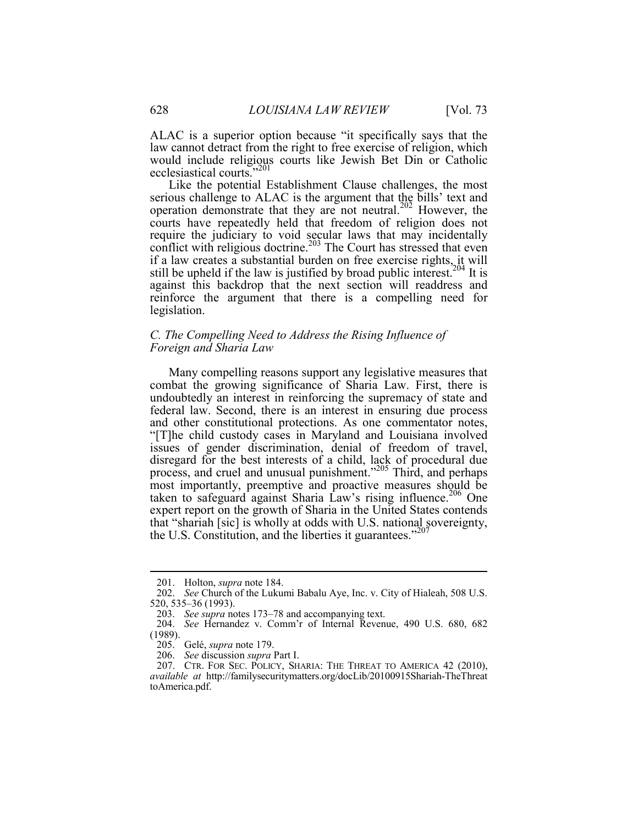ALAC is a superior option because "it specifically says that the law cannot detract from the right to free exercise of religion, which would include religious courts like Jewish Bet Din or Catholic ecclesiastical courts."<sup>201</sup>

still be upheld if the law is justified by broad public interest.<sup>204</sup> It is Like the potential Establishment Clause challenges, the most serious challenge to ALAC is the argument that the bills' text and operation demonstrate that they are not neutral.202 However, the courts have repeatedly held that freedom of religion does not require the judiciary to void secular laws that may incidentally conflict with religious doctrine.<sup>203</sup> The Court has stressed that even if a law creates a substantial burden on free exercise rights, it will against this backdrop that the next section will readdress and reinforce the argument that there is a compelling need for legislation.

## *C. The Compelling Need to Address the Rising Influence of Foreign and Sharia Law*

 Many compelling reasons support any legislative measures that combat the growing significance of Sharia Law. First, there is undoubtedly an interest in reinforcing the supremacy of state and federal law. Second, there is an interest in ensuring due process and other constitutional protections. As one commentator notes, "[T]he child custody cases in Maryland and Louisiana involved issues of gender discrimination, denial of freedom of travel, disregard for the best interests of a child, lack of procedural due process, and cruel and unusual punishment."205 Third, and perhaps most importantly, preemptive and proactive measures should be taken to safeguard against Sharia Law's rising influence.<sup>206</sup> One expert report on the growth of Sharia in the United States contends that "shariah [sic] is wholly at odds with U.S. national sovereignty, the U.S. Constitution, and the liberties it guarantees."<sup>207</sup>

 <sup>201.</sup> Holton, *supra* note 184.

 <sup>202.</sup> *See* Church of the Lukumi Babalu Aye, Inc. v. City of Hialeah, 508 U.S. 520, 535–36 (1993).

 <sup>203.</sup> *See supra* notes 173–78 and accompanying text.

 204. *See* Hernandez v. Comm'r of Internal Revenue, 490 U.S. 680, 682 (1989).

 <sup>205.</sup> Gelé, *supra* note 179.

 <sup>206.</sup> *See* discussion *supra* Part I.

 <sup>207.</sup> CTR. FOR SEC. POLICY, SHARIA: THE THREAT TO AMERICA 42 (2010), *available at* http://familysecuritymatters.org/docLib/20100915Shariah-TheThreat toAmerica.pdf.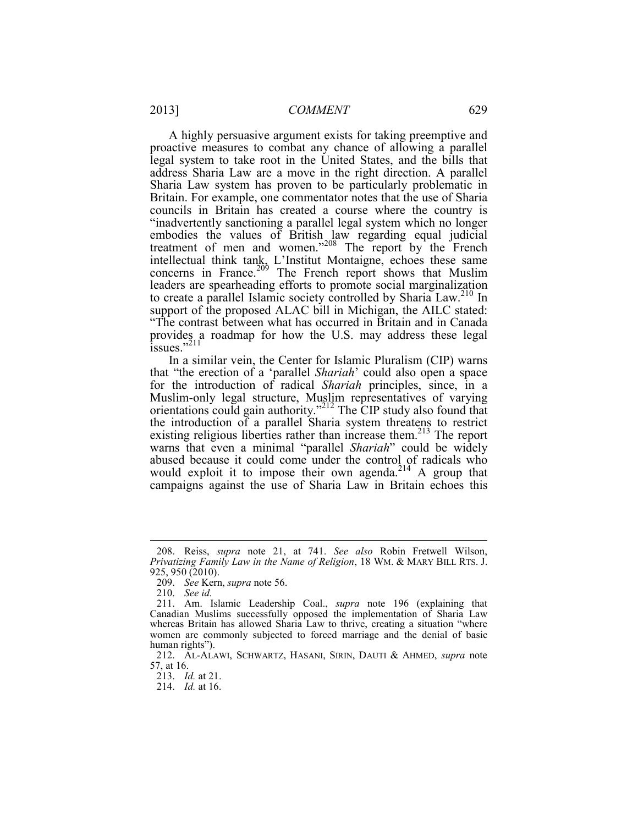to create a parallel Islamic society controlled by Sharia Law.<sup>210</sup> In A highly persuasive argument exists for taking preemptive and proactive measures to combat any chance of allowing a parallel legal system to take root in the United States, and the bills that address Sharia Law are a move in the right direction. A parallel Sharia Law system has proven to be particularly problematic in Britain. For example, one commentator notes that the use of Sharia councils in Britain has created a course where the country is "inadvertently sanctioning a parallel legal system which no longer embodies the values of British law regarding equal judicial treatment of men and women."<sup>208</sup> The report by the French intellectual think tank, L'Institut Montaigne, echoes these same concerns in France. $209$  The French report shows that Muslim leaders are spearheading efforts to promote social marginalization support of the proposed ALAC bill in Michigan, the AILC stated: "The contrast between what has occurred in Britain and in Canada provides a roadmap for how the U.S. may address these legal  $\frac{1}{1}$  issues."<sup>211</sup>

In a similar vein, the Center for Islamic Pluralism (CIP) warns that "the erection of a 'parallel *Shariah*' could also open a space for the introduction of radical *Shariah* principles, since, in a Muslim-only legal structure, Muslim representatives of varying orientations could gain authority."212 The CIP study also found that the introduction of a parallel Sharia system threatens to restrict existing religious liberties rather than increase them.<sup>213</sup> The report warns that even a minimal "parallel *Shariah*" could be widely abused because it could come under the control of radicals who would exploit it to impose their own agenda.<sup>214</sup> A group that campaigns against the use of Sharia Law in Britain echoes this

 *Privatizing Family Law in the Name of Religion*, 18 WM. & MARY BILL RTS. J. 925, 950 (2010). 208. Reiss, *supra* note 21, at 741. *See also* Robin Fretwell Wilson,

 <sup>209.</sup> *See* Kern, *supra* note 56.

 <sup>210.</sup> *See id.* 

 Canadian Muslims successfully opposed the implementation of Sharia Law 211. Am. Islamic Leadership Coal., *supra* note 196 (explaining that whereas Britain has allowed Sharia Law to thrive, creating a situation "where women are commonly subjected to forced marriage and the denial of basic human rights").

 212. AL-ALAWI, SCHWARTZ, HASANI, SIRIN, DAUTI & AHMED, *supra* note 57, at 16.

 <sup>213.</sup> *Id.* at 21.

 <sup>214.</sup> *Id.* at 16.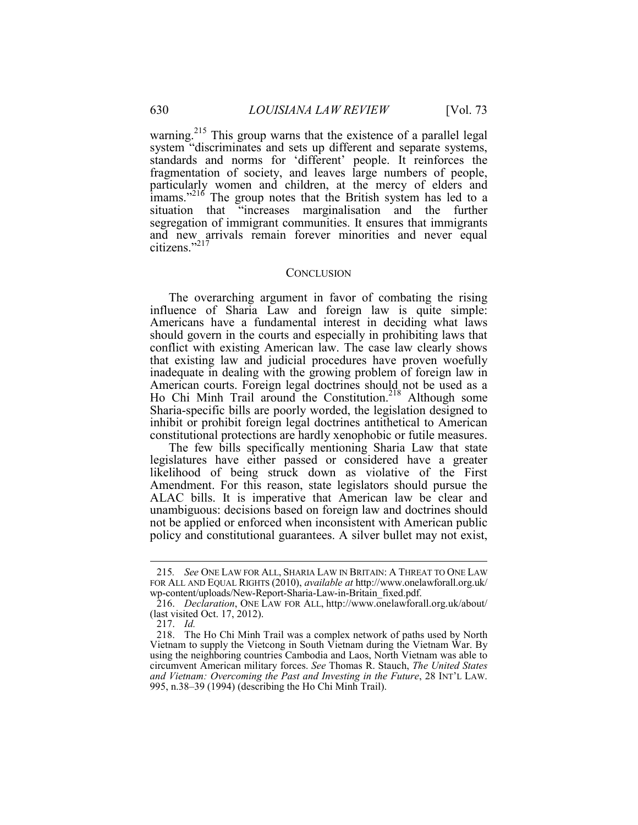citizens."<sup>217</sup> warning.<sup>215</sup> This group warns that the existence of a parallel legal system "discriminates and sets up different and separate systems, standards and norms for 'different' people. It reinforces the fragmentation of society, and leaves large numbers of people, particularly women and children, at the mercy of elders and imams."<sup>216</sup> The group notes that the British system has led to a situation that "increases marginalisation and the further segregation of immigrant communities. It ensures that immigrants and new arrivals remain forever minorities and never equal

#### **CONCLUSION**

The overarching argument in favor of combating the rising influence of Sharia Law and foreign law is quite simple: Americans have a fundamental interest in deciding what laws should govern in the courts and especially in prohibiting laws that conflict with existing American law. The case law clearly shows that existing law and judicial procedures have proven woefully inadequate in dealing with the growing problem of foreign law in American courts. Foreign legal doctrines should not be used as a Ho Chi Minh Trail around the Constitution.<sup>218</sup> Although some Sharia-specific bills are poorly worded, the legislation designed to inhibit or prohibit foreign legal doctrines antithetical to American constitutional protections are hardly xenophobic or futile measures.

 ALAC bills. It is imperative that American law be clear and The few bills specifically mentioning Sharia Law that state legislatures have either passed or considered have a greater likelihood of being struck down as violative of the First Amendment. For this reason, state legislators should pursue the unambiguous: decisions based on foreign law and doctrines should not be applied or enforced when inconsistent with American public policy and constitutional guarantees. A silver bullet may not exist,

<u>.</u>

<sup>215</sup>*. See* ONE LAW FOR ALL, SHARIA LAW IN BRITAIN: A THREAT TO ONE LAW FOR ALL AND EQUAL RIGHTS (2010), *available at* http://www.onelawforall.org.uk/ wp-content/uploads/New-Report-Sharia-Law-in-Britain\_fixed.pdf.

 (last visited Oct. 17, 2012). 216. *Declaration*, ONE LAW FOR ALL, http://www.onelawforall.org.uk/about/

 <sup>217.</sup> *Id.* 

 using the neighboring countries Cambodia and Laos, North Vietnam was able to circumvent American military forces. *See* Thomas R. Stauch, *The United States*  218. The Ho Chi Minh Trail was a complex network of paths used by North Vietnam to supply the Vietcong in South Vietnam during the Vietnam War. By *and Vietnam: Overcoming the Past and Investing in the Future*, 28 INT'L LAW. 995, n.38–39 (1994) (describing the Ho Chi Minh Trail).